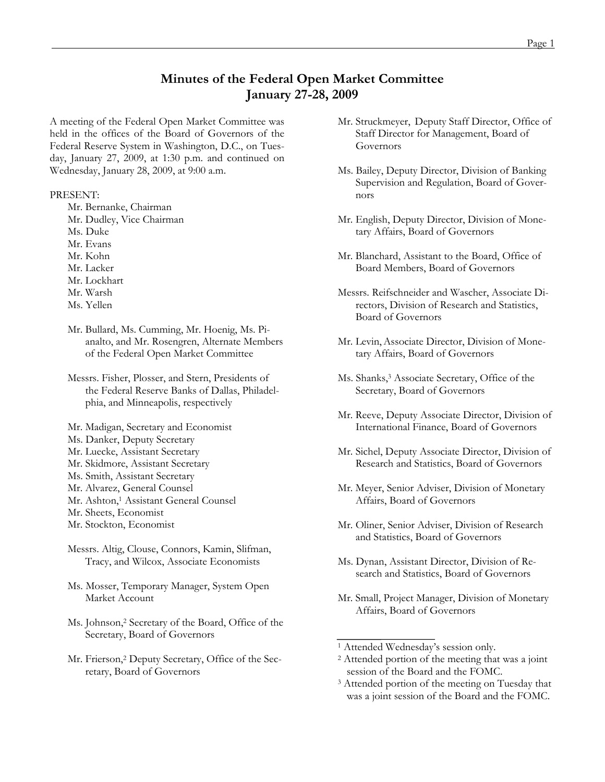# **Minutes of the Federal Open Market Committee January 27-28, 2009**

A meeting of the Federal Open Market Committee was held in the offices of the Board of Governors of the Federal Reserve System in Washington, D.C., on Tuesday, January 27, 2009, at 1:30 p.m. and continued on Wednesday, January 28, 2009, at 9:00 a.m.

#### PRESENT:

- Mr. Bernanke, Chairman
- Mr. Dudley, Vice Chairman
- Ms. Duke
- Mr. Evans
- Mr. Kohn
- Mr. Lacker
- Mr. Lockhart
- Mr. Warsh
- Ms. Yellen
- Mr. Bullard, Ms. Cumming, Mr. Hoenig, Ms. Pianalto, and Mr. Rosengren, Alternate Members of the Federal Open Market Committee
- Messrs. Fisher, Plosser, and Stern, Presidents of the Federal Reserve Banks of Dallas, Philadelphia, and Minneapolis, respectively
- Mr. Madigan, Secretary and Economist
- Ms. Danker, Deputy Secretary
- Mr. Luecke, Assistant Secretary
- Mr. Skidmore, Assistant Secretary
- Ms. Smith, Assistant Secretary
- Mr. Alvarez, General Counsel
- Mr. Ashton,<sup>1</sup> Assistant General Counsel
- Mr. Sheets, Economist
- Mr. Stockton, Economist
- Messrs. Altig, Clouse, Connors, Kamin, Slifman, Tracy, and Wilcox, Associate Economists
- Ms. Mosser, Temporary Manager, System Open Market Account
- Ms. Johnson,2 Secretary of the Board, Office of the Secretary, Board of Governors
- Mr. Frierson,2 Deputy Secretary, Office of the Secretary, Board of Governors
- Mr. Struckmeyer, Deputy Staff Director, Office of Staff Director for Management, Board of Governors
- Ms. Bailey, Deputy Director, Division of Banking Supervision and Regulation, Board of Governors
- Mr. English, Deputy Director, Division of Monetary Affairs, Board of Governors
- Mr. Blanchard, Assistant to the Board, Office of Board Members, Board of Governors
- Messrs. Reifschneider and Wascher, Associate Directors, Division of Research and Statistics, Board of Governors
- Mr. Levin, Associate Director, Division of Monetary Affairs, Board of Governors
- Ms. Shanks,<sup>3</sup> Associate Secretary, Office of the Secretary, Board of Governors
- Mr. Reeve, Deputy Associate Director, Division of International Finance, Board of Governors
- Mr. Sichel, Deputy Associate Director, Division of Research and Statistics, Board of Governors
- Mr. Meyer, Senior Adviser, Division of Monetary Affairs, Board of Governors
- Mr. Oliner, Senior Adviser, Division of Research and Statistics, Board of Governors
- Ms. Dynan, Assistant Director, Division of Research and Statistics, Board of Governors
- Mr. Small, Project Manager, Division of Monetary Affairs, Board of Governors

- 2 Attended portion of the meeting that was a joint session of the Board and the FOMC.
- 3 Attended portion of the meeting on Tuesday that was a joint session of the Board and the FOMC.

<sup>1</sup> Attended Wednesday's session only.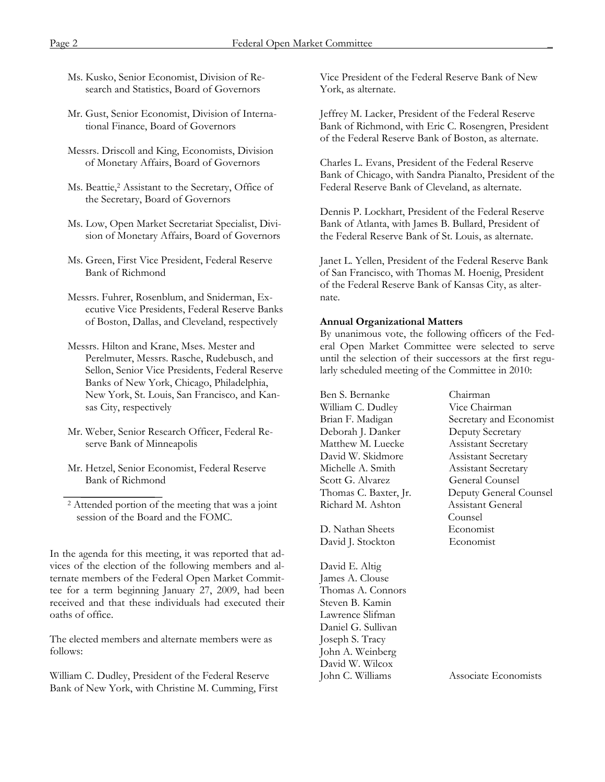- Ms. Kusko, Senior Economist, Division of Research and Statistics, Board of Governors
- Mr. Gust, Senior Economist, Division of International Finance, Board of Governors
- Messrs. Driscoll and King, Economists, Division of Monetary Affairs, Board of Governors
- Ms. Beattie,<sup>2</sup> Assistant to the Secretary, Office of the Secretary, Board of Governors
- Ms. Low, Open Market Secretariat Specialist, Division of Monetary Affairs, Board of Governors
- Ms. Green, First Vice President, Federal Reserve Bank of Richmond
- Messrs. Fuhrer, Rosenblum, and Sniderman, Executive Vice Presidents, Federal Reserve Banks of Boston, Dallas, and Cleveland, respectively
- Messrs. Hilton and Krane, Mses. Mester and Perelmuter, Messrs. Rasche, Rudebusch, and Sellon, Senior Vice Presidents, Federal Reserve Banks of New York, Chicago, Philadelphia, New York, St. Louis, San Francisco, and Kansas City, respectively
- Mr. Weber, Senior Research Officer, Federal Reserve Bank of Minneapolis
- Mr. Hetzel, Senior Economist, Federal Reserve Bank of Richmond
- 2 Attended portion of the meeting that was a joint session of the Board and the FOMC.

In the agenda for this meeting, it was reported that advices of the election of the following members and alternate members of the Federal Open Market Committee for a term beginning January 27, 2009, had been received and that these individuals had executed their oaths of office.

The elected members and alternate members were as follows:

William C. Dudley, President of the Federal Reserve Bank of New York, with Christine M. Cumming, First Vice President of the Federal Reserve Bank of New York, as alternate.

Jeffrey M. Lacker, President of the Federal Reserve Bank of Richmond, with Eric C. Rosengren, President of the Federal Reserve Bank of Boston, as alternate.

Charles L. Evans, President of the Federal Reserve Bank of Chicago, with Sandra Pianalto, President of the Federal Reserve Bank of Cleveland, as alternate.

Dennis P. Lockhart, President of the Federal Reserve Bank of Atlanta, with James B. Bullard, President of the Federal Reserve Bank of St. Louis, as alternate.

Janet L. Yellen, President of the Federal Reserve Bank of San Francisco, with Thomas M. Hoenig, President of the Federal Reserve Bank of Kansas City, as alternate.

#### **Annual Organizational Matters**

By unanimous vote, the following officers of the Federal Open Market Committee were selected to serve until the selection of their successors at the first regularly scheduled meeting of the Committee in 2010:

Ben S. Bernanke Chairman William C. Dudley Vice Chairman Deborah J. Danker Deputy Secretary Matthew M. Luecke **Assistant Secretary** David W. Skidmore Assistant Secretary Michelle A. Smith Assistant Secretary Scott G. Alvarez General Counsel Richard M. Ashton

D. Nathan Sheets Economist David J. Stockton Economist

David E. Altig James A. Clouse Thomas A. Connors Steven B. Kamin Lawrence Slifman Daniel G. Sullivan Joseph S. Tracy John A. Weinberg David W. Wilcox

Brian F. Madigan Secretary and Economist Thomas C. Baxter, Jr. Deputy General Counsel Counsel

John C. Williams Associate Economists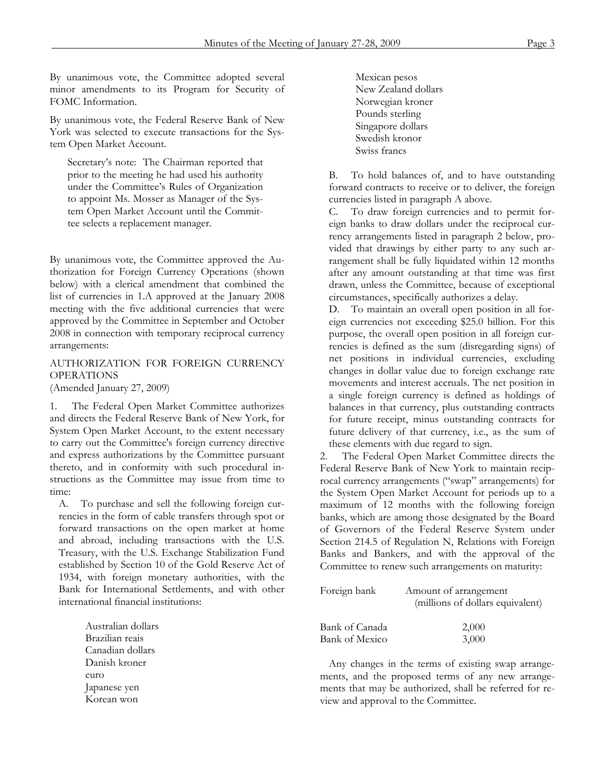By unanimous vote, the Committee adopted several minor amendments to its Program for Security of FOMC Information.

By unanimous vote, the Federal Reserve Bank of New York was selected to execute transactions for the System Open Market Account.

Secretary's note: The Chairman reported that prior to the meeting he had used his authority under the Committee's Rules of Organization to appoint Ms. Mosser as Manager of the System Open Market Account until the Committee selects a replacement manager.

By unanimous vote, the Committee approved the Authorization for Foreign Currency Operations (shown below) with a clerical amendment that combined the list of currencies in 1.A approved at the January 2008 meeting with the five additional currencies that were approved by the Committee in September and October 2008 in connection with temporary reciprocal currency arrangements:

### AUTHORIZATION FOR FOREIGN CURRENCY OPERATIONS

(Amended January 27, 2009)

1. The Federal Open Market Committee authorizes and directs the Federal Reserve Bank of New York, for System Open Market Account, to the extent necessary to carry out the Committee's foreign currency directive and express authorizations by the Committee pursuant thereto, and in conformity with such procedural instructions as the Committee may issue from time to time:

A. To purchase and sell the following foreign currencies in the form of cable transfers through spot or forward transactions on the open market at home and abroad, including transactions with the U.S. Treasury, with the U.S. Exchange Stabilization Fund established by Section 10 of the Gold Reserve Act of 1934, with foreign monetary authorities, with the Bank for International Settlements, and with other international financial institutions:

| Australian dollars |
|--------------------|
| Brazilian reais    |
| Canadian dollars   |
| Danish kroner      |
| euro               |
| Japanese yen       |
| Korean won         |

Mexican pesos New Zealand dollars Norwegian kroner Pounds sterling Singapore dollars Swedish kronor Swiss francs

B. To hold balances of, and to have outstanding forward contracts to receive or to deliver, the foreign currencies listed in paragraph A above.

C. To draw foreign currencies and to permit foreign banks to draw dollars under the reciprocal currency arrangements listed in paragraph 2 below, provided that drawings by either party to any such arrangement shall be fully liquidated within 12 months after any amount outstanding at that time was first drawn, unless the Committee, because of exceptional circumstances, specifically authorizes a delay.

D. To maintain an overall open position in all foreign currencies not exceeding \$25.0 billion. For this purpose, the overall open position in all foreign currencies is defined as the sum (disregarding signs) of net positions in individual currencies, excluding changes in dollar value due to foreign exchange rate movements and interest accruals. The net position in a single foreign currency is defined as holdings of balances in that currency, plus outstanding contracts for future receipt, minus outstanding contracts for future delivery of that currency, i.e., as the sum of these elements with due regard to sign.

2. The Federal Open Market Committee directs the Federal Reserve Bank of New York to maintain reciprocal currency arrangements ("swap" arrangements) for the System Open Market Account for periods up to a maximum of 12 months with the following foreign banks, which are among those designated by the Board of Governors of the Federal Reserve System under Section 214.5 of Regulation N, Relations with Foreign Banks and Bankers, and with the approval of the Committee to renew such arrangements on maturity:

| Foreign bank   | Amount of arrangement            |
|----------------|----------------------------------|
|                | (millions of dollars equivalent) |
| Bank of Canada | 2,000                            |
| Bank of Mexico | 3,000                            |

Any changes in the terms of existing swap arrangements, and the proposed terms of any new arrangements that may be authorized, shall be referred for review and approval to the Committee.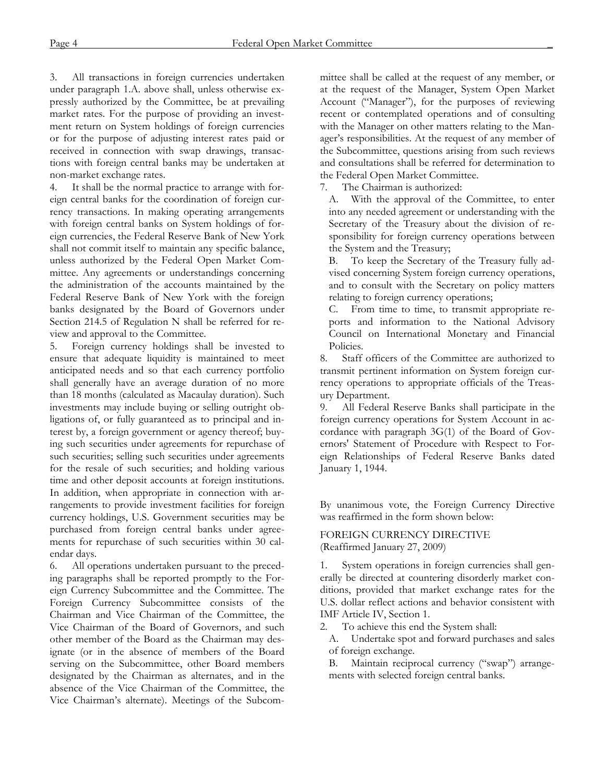3. All transactions in foreign currencies undertaken under paragraph 1.A. above shall, unless otherwise expressly authorized by the Committee, be at prevailing market rates. For the purpose of providing an investment return on System holdings of foreign currencies or for the purpose of adjusting interest rates paid or received in connection with swap drawings, transactions with foreign central banks may be undertaken at non-market exchange rates.

4. It shall be the normal practice to arrange with foreign central banks for the coordination of foreign currency transactions. In making operating arrangements with foreign central banks on System holdings of foreign currencies, the Federal Reserve Bank of New York shall not commit itself to maintain any specific balance, unless authorized by the Federal Open Market Committee. Any agreements or understandings concerning the administration of the accounts maintained by the Federal Reserve Bank of New York with the foreign banks designated by the Board of Governors under Section 214.5 of Regulation N shall be referred for review and approval to the Committee.

5. Foreign currency holdings shall be invested to ensure that adequate liquidity is maintained to meet anticipated needs and so that each currency portfolio shall generally have an average duration of no more than 18 months (calculated as Macaulay duration). Such investments may include buying or selling outright obligations of, or fully guaranteed as to principal and interest by, a foreign government or agency thereof; buying such securities under agreements for repurchase of such securities; selling such securities under agreements for the resale of such securities; and holding various time and other deposit accounts at foreign institutions. In addition, when appropriate in connection with arrangements to provide investment facilities for foreign currency holdings, U.S. Government securities may be purchased from foreign central banks under agreements for repurchase of such securities within 30 calendar days.

6. All operations undertaken pursuant to the preceding paragraphs shall be reported promptly to the Foreign Currency Subcommittee and the Committee. The Foreign Currency Subcommittee consists of the Chairman and Vice Chairman of the Committee, the Vice Chairman of the Board of Governors, and such other member of the Board as the Chairman may designate (or in the absence of members of the Board serving on the Subcommittee, other Board members designated by the Chairman as alternates, and in the absence of the Vice Chairman of the Committee, the Vice Chairman's alternate). Meetings of the Subcommittee shall be called at the request of any member, or at the request of the Manager, System Open Market Account ("Manager"), for the purposes of reviewing recent or contemplated operations and of consulting with the Manager on other matters relating to the Manager's responsibilities. At the request of any member of the Subcommittee, questions arising from such reviews and consultations shall be referred for determination to the Federal Open Market Committee.

7. The Chairman is authorized:

A. With the approval of the Committee, to enter into any needed agreement or understanding with the Secretary of the Treasury about the division of responsibility for foreign currency operations between the System and the Treasury;

B. To keep the Secretary of the Treasury fully advised concerning System foreign currency operations, and to consult with the Secretary on policy matters relating to foreign currency operations;

C. From time to time, to transmit appropriate reports and information to the National Advisory Council on International Monetary and Financial Policies.

8. Staff officers of the Committee are authorized to transmit pertinent information on System foreign currency operations to appropriate officials of the Treasury Department.

9. All Federal Reserve Banks shall participate in the foreign currency operations for System Account in accordance with paragraph 3G(1) of the Board of Governors' Statement of Procedure with Respect to Foreign Relationships of Federal Reserve Banks dated January 1, 1944.

By unanimous vote, the Foreign Currency Directive was reaffirmed in the form shown below:

#### FOREIGN CURRENCY DIRECTIVE (Reaffirmed January 27, 2009)

1. System operations in foreign currencies shall generally be directed at countering disorderly market conditions, provided that market exchange rates for the U.S. dollar reflect actions and behavior consistent with IMF Article IV, Section 1.

2. To achieve this end the System shall:

A. Undertake spot and forward purchases and sales of foreign exchange.

B. Maintain reciprocal currency ("swap") arrangements with selected foreign central banks.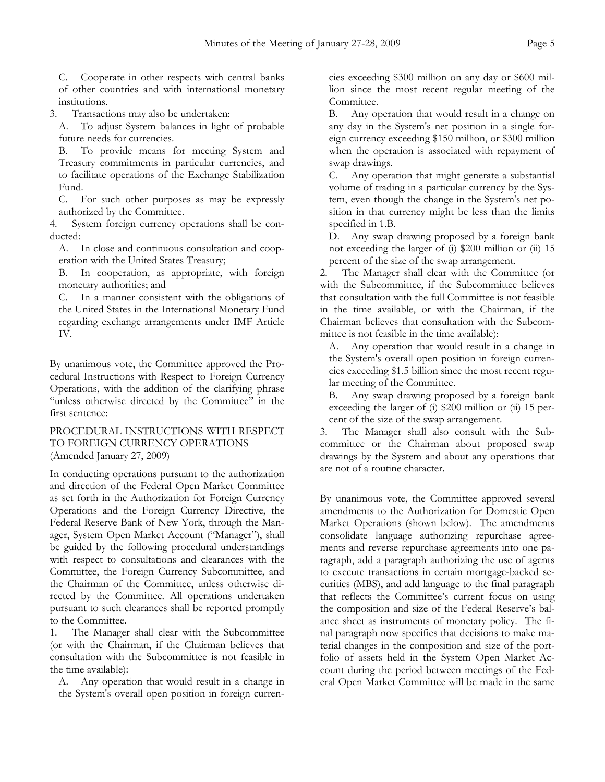C. Cooperate in other respects with central banks of other countries and with international monetary institutions.

3. Transactions may also be undertaken:

A. To adjust System balances in light of probable future needs for currencies.

B. To provide means for meeting System and Treasury commitments in particular currencies, and to facilitate operations of the Exchange Stabilization Fund.

C. For such other purposes as may be expressly authorized by the Committee.

4. System foreign currency operations shall be conducted:

A. In close and continuous consultation and cooperation with the United States Treasury;

B. In cooperation, as appropriate, with foreign monetary authorities; and

C. In a manner consistent with the obligations of the United States in the International Monetary Fund regarding exchange arrangements under IMF Article IV.

By unanimous vote, the Committee approved the Procedural Instructions with Respect to Foreign Currency Operations, with the addition of the clarifying phrase "unless otherwise directed by the Committee" in the first sentence:

PROCEDURAL INSTRUCTIONS WITH RESPECT TO FOREIGN CURRENCY OPERATIONS (Amended January 27, 2009)

In conducting operations pursuant to the authorization and direction of the Federal Open Market Committee as set forth in the Authorization for Foreign Currency Operations and the Foreign Currency Directive, the Federal Reserve Bank of New York, through the Manager, System Open Market Account ("Manager"), shall be guided by the following procedural understandings with respect to consultations and clearances with the Committee, the Foreign Currency Subcommittee, and the Chairman of the Committee, unless otherwise directed by the Committee. All operations undertaken pursuant to such clearances shall be reported promptly to the Committee.

1. The Manager shall clear with the Subcommittee (or with the Chairman, if the Chairman believes that consultation with the Subcommittee is not feasible in the time available):

A. Any operation that would result in a change in the System's overall open position in foreign currencies exceeding \$300 million on any day or \$600 million since the most recent regular meeting of the Committee.

B. Any operation that would result in a change on any day in the System's net position in a single foreign currency exceeding \$150 million, or \$300 million when the operation is associated with repayment of swap drawings.

C. Any operation that might generate a substantial volume of trading in a particular currency by the System, even though the change in the System's net position in that currency might be less than the limits specified in 1.B.

D. Any swap drawing proposed by a foreign bank not exceeding the larger of (i) \$200 million or (ii) 15 percent of the size of the swap arrangement.

2. The Manager shall clear with the Committee (or with the Subcommittee, if the Subcommittee believes that consultation with the full Committee is not feasible in the time available, or with the Chairman, if the Chairman believes that consultation with the Subcommittee is not feasible in the time available):

A. Any operation that would result in a change in the System's overall open position in foreign currencies exceeding \$1.5 billion since the most recent regular meeting of the Committee.

B. Any swap drawing proposed by a foreign bank exceeding the larger of (i) \$200 million or (ii) 15 percent of the size of the swap arrangement.

3. The Manager shall also consult with the Subcommittee or the Chairman about proposed swap drawings by the System and about any operations that are not of a routine character.

By unanimous vote, the Committee approved several amendments to the Authorization for Domestic Open Market Operations (shown below). The amendments consolidate language authorizing repurchase agreements and reverse repurchase agreements into one paragraph, add a paragraph authorizing the use of agents to execute transactions in certain mortgage-backed securities (MBS), and add language to the final paragraph that reflects the Committee's current focus on using the composition and size of the Federal Reserve's balance sheet as instruments of monetary policy. The final paragraph now specifies that decisions to make material changes in the composition and size of the portfolio of assets held in the System Open Market Account during the period between meetings of the Federal Open Market Committee will be made in the same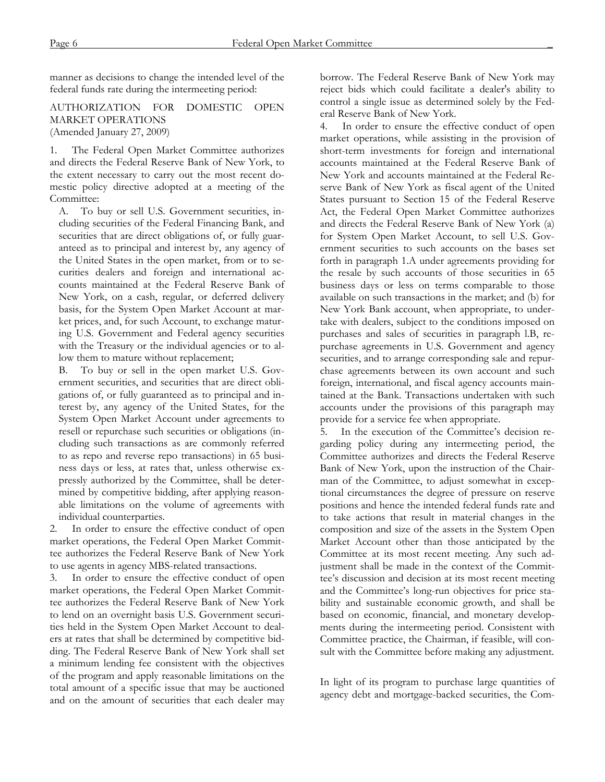manner as decisions to change the intended level of the federal funds rate during the intermeeting period:

AUTHORIZATION FOR DOMESTIC OPEN MARKET OPERATIONS (Amended January 27, 2009)

1. The Federal Open Market Committee authorizes and directs the Federal Reserve Bank of New York, to the extent necessary to carry out the most recent domestic policy directive adopted at a meeting of the Committee:

A. To buy or sell U.S. Government securities, including securities of the Federal Financing Bank, and securities that are direct obligations of, or fully guaranteed as to principal and interest by, any agency of the United States in the open market, from or to securities dealers and foreign and international accounts maintained at the Federal Reserve Bank of New York, on a cash, regular, or deferred delivery basis, for the System Open Market Account at market prices, and, for such Account, to exchange maturing U.S. Government and Federal agency securities with the Treasury or the individual agencies or to allow them to mature without replacement;

B. To buy or sell in the open market U.S. Government securities, and securities that are direct obligations of, or fully guaranteed as to principal and interest by, any agency of the United States, for the System Open Market Account under agreements to resell or repurchase such securities or obligations (including such transactions as are commonly referred to as repo and reverse repo transactions) in 65 business days or less, at rates that, unless otherwise expressly authorized by the Committee, shall be determined by competitive bidding, after applying reasonable limitations on the volume of agreements with individual counterparties.

2. In order to ensure the effective conduct of open market operations, the Federal Open Market Committee authorizes the Federal Reserve Bank of New York to use agents in agency MBS-related transactions.

3. In order to ensure the effective conduct of open market operations, the Federal Open Market Committee authorizes the Federal Reserve Bank of New York to lend on an overnight basis U.S. Government securities held in the System Open Market Account to dealers at rates that shall be determined by competitive bidding. The Federal Reserve Bank of New York shall set a minimum lending fee consistent with the objectives of the program and apply reasonable limitations on the total amount of a specific issue that may be auctioned and on the amount of securities that each dealer may borrow. The Federal Reserve Bank of New York may reject bids which could facilitate a dealer's ability to control a single issue as determined solely by the Federal Reserve Bank of New York.

4. In order to ensure the effective conduct of open market operations, while assisting in the provision of short-term investments for foreign and international accounts maintained at the Federal Reserve Bank of New York and accounts maintained at the Federal Reserve Bank of New York as fiscal agent of the United States pursuant to Section 15 of the Federal Reserve Act, the Federal Open Market Committee authorizes and directs the Federal Reserve Bank of New York (a) for System Open Market Account, to sell U.S. Government securities to such accounts on the bases set forth in paragraph 1.A under agreements providing for the resale by such accounts of those securities in 65 business days or less on terms comparable to those available on such transactions in the market; and (b) for New York Bank account, when appropriate, to undertake with dealers, subject to the conditions imposed on purchases and sales of securities in paragraph l.B, repurchase agreements in U.S. Government and agency securities, and to arrange corresponding sale and repurchase agreements between its own account and such foreign, international, and fiscal agency accounts maintained at the Bank. Transactions undertaken with such accounts under the provisions of this paragraph may provide for a service fee when appropriate.

5. In the execution of the Committee's decision regarding policy during any intermeeting period, the Committee authorizes and directs the Federal Reserve Bank of New York, upon the instruction of the Chairman of the Committee, to adjust somewhat in exceptional circumstances the degree of pressure on reserve positions and hence the intended federal funds rate and to take actions that result in material changes in the composition and size of the assets in the System Open Market Account other than those anticipated by the Committee at its most recent meeting. Any such adjustment shall be made in the context of the Committee's discussion and decision at its most recent meeting and the Committee's long-run objectives for price stability and sustainable economic growth, and shall be based on economic, financial, and monetary developments during the intermeeting period. Consistent with Committee practice, the Chairman, if feasible, will consult with the Committee before making any adjustment.

In light of its program to purchase large quantities of agency debt and mortgage-backed securities, the Com-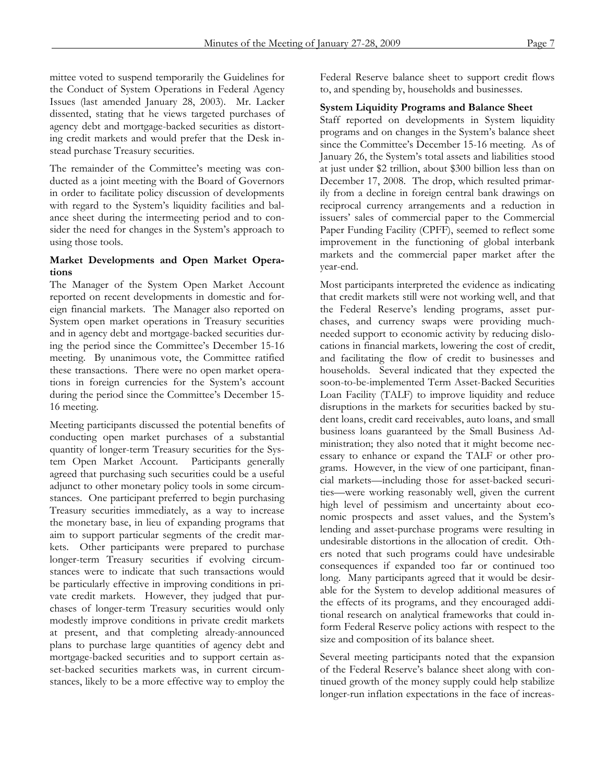mittee voted to suspend temporarily the Guidelines for the Conduct of System Operations in Federal Agency Issues (last amended January 28, 2003). Mr. Lacker dissented, stating that he views targeted purchases of agency debt and mortgage-backed securities as distorting credit markets and would prefer that the Desk instead purchase Treasury securities.

The remainder of the Committee's meeting was conducted as a joint meeting with the Board of Governors in order to facilitate policy discussion of developments with regard to the System's liquidity facilities and balance sheet during the intermeeting period and to consider the need for changes in the System's approach to using those tools.

## **Market Developments and Open Market Operations**

The Manager of the System Open Market Account reported on recent developments in domestic and foreign financial markets. The Manager also reported on System open market operations in Treasury securities and in agency debt and mortgage-backed securities during the period since the Committee's December 15-16 meeting. By unanimous vote, the Committee ratified these transactions. There were no open market operations in foreign currencies for the System's account during the period since the Committee's December 15- 16 meeting.

Meeting participants discussed the potential benefits of conducting open market purchases of a substantial quantity of longer-term Treasury securities for the System Open Market Account. Participants generally agreed that purchasing such securities could be a useful adjunct to other monetary policy tools in some circumstances. One participant preferred to begin purchasing Treasury securities immediately, as a way to increase the monetary base, in lieu of expanding programs that aim to support particular segments of the credit markets. Other participants were prepared to purchase longer-term Treasury securities if evolving circumstances were to indicate that such transactions would be particularly effective in improving conditions in private credit markets. However, they judged that purchases of longer-term Treasury securities would only modestly improve conditions in private credit markets at present, and that completing already-announced plans to purchase large quantities of agency debt and mortgage-backed securities and to support certain asset-backed securities markets was, in current circumstances, likely to be a more effective way to employ the

Federal Reserve balance sheet to support credit flows to, and spending by, households and businesses.

## **System Liquidity Programs and Balance Sheet**

Staff reported on developments in System liquidity programs and on changes in the System's balance sheet since the Committee's December 15-16 meeting. As of January 26, the System's total assets and liabilities stood at just under \$2 trillion, about \$300 billion less than on December 17, 2008. The drop, which resulted primarily from a decline in foreign central bank drawings on reciprocal currency arrangements and a reduction in issuers' sales of commercial paper to the Commercial Paper Funding Facility (CPFF), seemed to reflect some improvement in the functioning of global interbank markets and the commercial paper market after the year-end.

Most participants interpreted the evidence as indicating that credit markets still were not working well, and that the Federal Reserve's lending programs, asset purchases, and currency swaps were providing muchneeded support to economic activity by reducing dislocations in financial markets, lowering the cost of credit, and facilitating the flow of credit to businesses and households. Several indicated that they expected the soon-to-be-implemented Term Asset-Backed Securities Loan Facility (TALF) to improve liquidity and reduce disruptions in the markets for securities backed by student loans, credit card receivables, auto loans, and small business loans guaranteed by the Small Business Administration; they also noted that it might become necessary to enhance or expand the TALF or other programs. However, in the view of one participant, financial markets—including those for asset-backed securities—were working reasonably well, given the current high level of pessimism and uncertainty about economic prospects and asset values, and the System's lending and asset-purchase programs were resulting in undesirable distortions in the allocation of credit. Others noted that such programs could have undesirable consequences if expanded too far or continued too long. Many participants agreed that it would be desirable for the System to develop additional measures of the effects of its programs, and they encouraged additional research on analytical frameworks that could inform Federal Reserve policy actions with respect to the size and composition of its balance sheet.

Several meeting participants noted that the expansion of the Federal Reserve's balance sheet along with continued growth of the money supply could help stabilize longer-run inflation expectations in the face of increas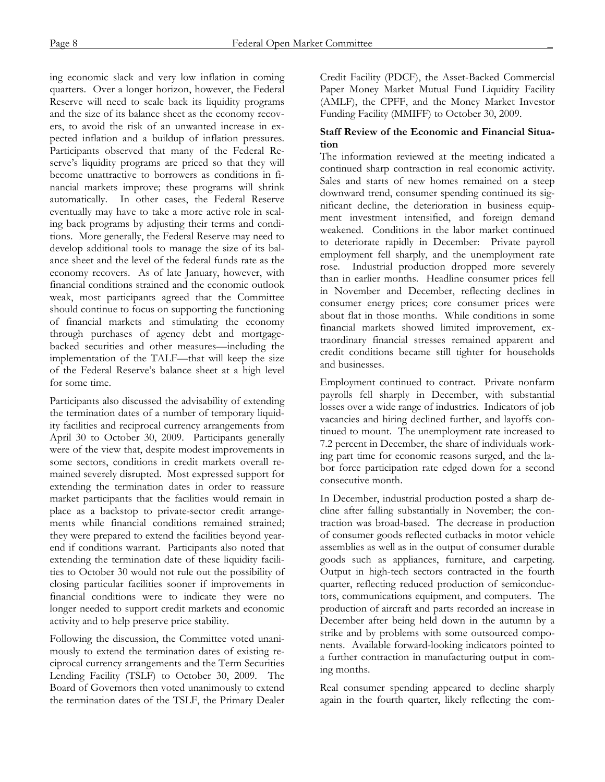ing economic slack and very low inflation in coming quarters. Over a longer horizon, however, the Federal Reserve will need to scale back its liquidity programs and the size of its balance sheet as the economy recovers, to avoid the risk of an unwanted increase in expected inflation and a buildup of inflation pressures. Participants observed that many of the Federal Reserve's liquidity programs are priced so that they will become unattractive to borrowers as conditions in financial markets improve; these programs will shrink automatically. In other cases, the Federal Reserve eventually may have to take a more active role in scaling back programs by adjusting their terms and conditions. More generally, the Federal Reserve may need to develop additional tools to manage the size of its balance sheet and the level of the federal funds rate as the economy recovers. As of late January, however, with financial conditions strained and the economic outlook weak, most participants agreed that the Committee should continue to focus on supporting the functioning of financial markets and stimulating the economy through purchases of agency debt and mortgagebacked securities and other measures—including the implementation of the TALF—that will keep the size of the Federal Reserve's balance sheet at a high level for some time.

Participants also discussed the advisability of extending the termination dates of a number of temporary liquidity facilities and reciprocal currency arrangements from April 30 to October 30, 2009. Participants generally were of the view that, despite modest improvements in some sectors, conditions in credit markets overall remained severely disrupted. Most expressed support for extending the termination dates in order to reassure market participants that the facilities would remain in place as a backstop to private-sector credit arrangements while financial conditions remained strained; they were prepared to extend the facilities beyond yearend if conditions warrant. Participants also noted that extending the termination date of these liquidity facilities to October 30 would not rule out the possibility of closing particular facilities sooner if improvements in financial conditions were to indicate they were no longer needed to support credit markets and economic activity and to help preserve price stability.

Following the discussion, the Committee voted unanimously to extend the termination dates of existing reciprocal currency arrangements and the Term Securities Lending Facility (TSLF) to October 30, 2009. The Board of Governors then voted unanimously to extend the termination dates of the TSLF, the Primary Dealer Credit Facility (PDCF), the Asset-Backed Commercial Paper Money Market Mutual Fund Liquidity Facility (AMLF), the CPFF, and the Money Market Investor Funding Facility (MMIFF) to October 30, 2009.

## **Staff Review of the Economic and Financial Situation**

The information reviewed at the meeting indicated a continued sharp contraction in real economic activity. Sales and starts of new homes remained on a steep downward trend, consumer spending continued its significant decline, the deterioration in business equipment investment intensified, and foreign demand weakened. Conditions in the labor market continued to deteriorate rapidly in December: Private payroll employment fell sharply, and the unemployment rate rose. Industrial production dropped more severely than in earlier months. Headline consumer prices fell in November and December, reflecting declines in consumer energy prices; core consumer prices were about flat in those months. While conditions in some financial markets showed limited improvement, extraordinary financial stresses remained apparent and credit conditions became still tighter for households and businesses.

Employment continued to contract. Private nonfarm payrolls fell sharply in December, with substantial losses over a wide range of industries. Indicators of job vacancies and hiring declined further, and layoffs continued to mount. The unemployment rate increased to 7.2 percent in December, the share of individuals working part time for economic reasons surged, and the labor force participation rate edged down for a second consecutive month.

In December, industrial production posted a sharp decline after falling substantially in November; the contraction was broad-based. The decrease in production of consumer goods reflected cutbacks in motor vehicle assemblies as well as in the output of consumer durable goods such as appliances, furniture, and carpeting. Output in high-tech sectors contracted in the fourth quarter, reflecting reduced production of semiconductors, communications equipment, and computers. The production of aircraft and parts recorded an increase in December after being held down in the autumn by a strike and by problems with some outsourced components. Available forward-looking indicators pointed to a further contraction in manufacturing output in coming months.

Real consumer spending appeared to decline sharply again in the fourth quarter, likely reflecting the com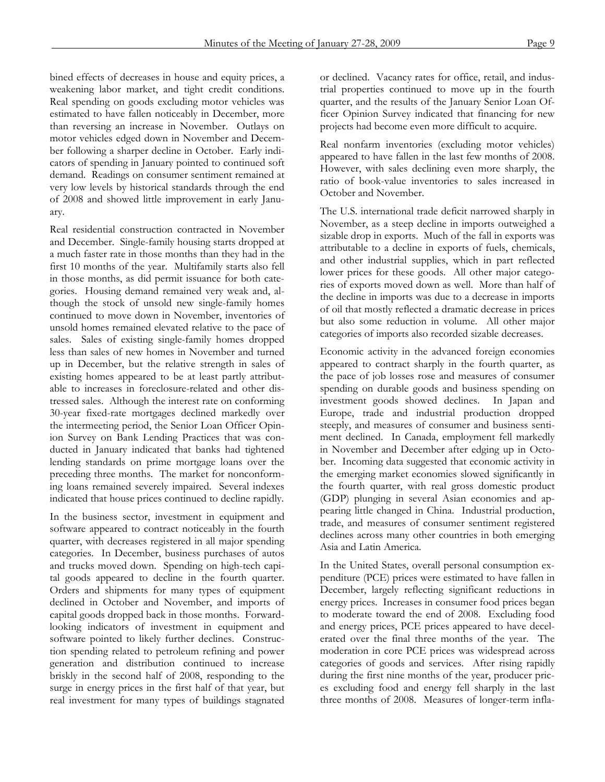bined effects of decreases in house and equity prices, a weakening labor market, and tight credit conditions. Real spending on goods excluding motor vehicles was estimated to have fallen noticeably in December, more than reversing an increase in November. Outlays on motor vehicles edged down in November and December following a sharper decline in October. Early indicators of spending in January pointed to continued soft demand. Readings on consumer sentiment remained at very low levels by historical standards through the end of 2008 and showed little improvement in early January.

Real residential construction contracted in November and December. Single-family housing starts dropped at a much faster rate in those months than they had in the first 10 months of the year. Multifamily starts also fell in those months, as did permit issuance for both categories. Housing demand remained very weak and, although the stock of unsold new single-family homes continued to move down in November, inventories of unsold homes remained elevated relative to the pace of sales. Sales of existing single-family homes dropped less than sales of new homes in November and turned up in December, but the relative strength in sales of existing homes appeared to be at least partly attributable to increases in foreclosure-related and other distressed sales. Although the interest rate on conforming 30-year fixed-rate mortgages declined markedly over the intermeeting period, the Senior Loan Officer Opinion Survey on Bank Lending Practices that was conducted in January indicated that banks had tightened lending standards on prime mortgage loans over the preceding three months. The market for nonconforming loans remained severely impaired. Several indexes indicated that house prices continued to decline rapidly.

In the business sector, investment in equipment and software appeared to contract noticeably in the fourth quarter, with decreases registered in all major spending categories. In December, business purchases of autos and trucks moved down. Spending on high-tech capital goods appeared to decline in the fourth quarter. Orders and shipments for many types of equipment declined in October and November, and imports of capital goods dropped back in those months. Forwardlooking indicators of investment in equipment and software pointed to likely further declines. Construction spending related to petroleum refining and power generation and distribution continued to increase briskly in the second half of 2008, responding to the surge in energy prices in the first half of that year, but real investment for many types of buildings stagnated or declined. Vacancy rates for office, retail, and industrial properties continued to move up in the fourth quarter, and the results of the January Senior Loan Officer Opinion Survey indicated that financing for new projects had become even more difficult to acquire.

Real nonfarm inventories (excluding motor vehicles) appeared to have fallen in the last few months of 2008. However, with sales declining even more sharply, the ratio of book-value inventories to sales increased in October and November.

The U.S. international trade deficit narrowed sharply in November, as a steep decline in imports outweighed a sizable drop in exports. Much of the fall in exports was attributable to a decline in exports of fuels, chemicals, and other industrial supplies, which in part reflected lower prices for these goods. All other major categories of exports moved down as well. More than half of the decline in imports was due to a decrease in imports of oil that mostly reflected a dramatic decrease in prices but also some reduction in volume. All other major categories of imports also recorded sizable decreases.

Economic activity in the advanced foreign economies appeared to contract sharply in the fourth quarter, as the pace of job losses rose and measures of consumer spending on durable goods and business spending on investment goods showed declines. In Japan and Europe, trade and industrial production dropped steeply, and measures of consumer and business sentiment declined. In Canada, employment fell markedly in November and December after edging up in October. Incoming data suggested that economic activity in the emerging market economies slowed significantly in the fourth quarter, with real gross domestic product (GDP) plunging in several Asian economies and appearing little changed in China. Industrial production, trade, and measures of consumer sentiment registered declines across many other countries in both emerging Asia and Latin America.

In the United States, overall personal consumption expenditure (PCE) prices were estimated to have fallen in December, largely reflecting significant reductions in energy prices. Increases in consumer food prices began to moderate toward the end of 2008. Excluding food and energy prices, PCE prices appeared to have decelerated over the final three months of the year. The moderation in core PCE prices was widespread across categories of goods and services. After rising rapidly during the first nine months of the year, producer prices excluding food and energy fell sharply in the last three months of 2008. Measures of longer-term infla-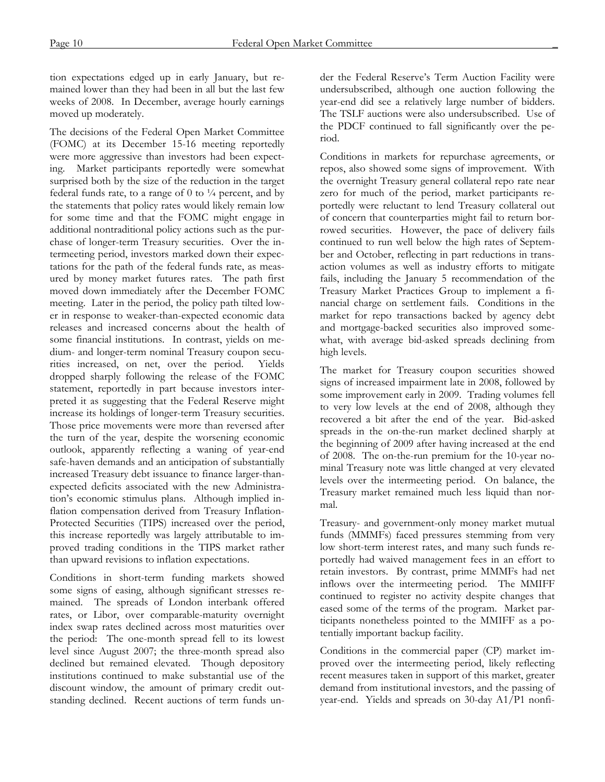tion expectations edged up in early January, but remained lower than they had been in all but the last few weeks of 2008. In December, average hourly earnings moved up moderately.

The decisions of the Federal Open Market Committee (FOMC) at its December 15-16 meeting reportedly were more aggressive than investors had been expecting. Market participants reportedly were somewhat surprised both by the size of the reduction in the target federal funds rate, to a range of  $0$  to  $\frac{1}{4}$  percent, and by the statements that policy rates would likely remain low for some time and that the FOMC might engage in additional nontraditional policy actions such as the purchase of longer-term Treasury securities. Over the intermeeting period, investors marked down their expectations for the path of the federal funds rate, as measured by money market futures rates. The path first moved down immediately after the December FOMC meeting. Later in the period, the policy path tilted lower in response to weaker-than-expected economic data releases and increased concerns about the health of some financial institutions. In contrast, yields on medium- and longer-term nominal Treasury coupon securities increased, on net, over the period. Yields dropped sharply following the release of the FOMC statement, reportedly in part because investors interpreted it as suggesting that the Federal Reserve might increase its holdings of longer-term Treasury securities. Those price movements were more than reversed after the turn of the year, despite the worsening economic outlook, apparently reflecting a waning of year-end safe-haven demands and an anticipation of substantially increased Treasury debt issuance to finance larger-thanexpected deficits associated with the new Administration's economic stimulus plans. Although implied inflation compensation derived from Treasury Inflation-Protected Securities (TIPS) increased over the period, this increase reportedly was largely attributable to improved trading conditions in the TIPS market rather than upward revisions to inflation expectations.

Conditions in short-term funding markets showed some signs of easing, although significant stresses remained. The spreads of London interbank offered rates, or Libor, over comparable-maturity overnight index swap rates declined across most maturities over the period: The one-month spread fell to its lowest level since August 2007; the three-month spread also declined but remained elevated. Though depository institutions continued to make substantial use of the discount window, the amount of primary credit outstanding declined. Recent auctions of term funds under the Federal Reserve's Term Auction Facility were undersubscribed, although one auction following the year-end did see a relatively large number of bidders. The TSLF auctions were also undersubscribed. Use of the PDCF continued to fall significantly over the period.

Conditions in markets for repurchase agreements, or repos, also showed some signs of improvement. With the overnight Treasury general collateral repo rate near zero for much of the period, market participants reportedly were reluctant to lend Treasury collateral out of concern that counterparties might fail to return borrowed securities. However, the pace of delivery fails continued to run well below the high rates of September and October, reflecting in part reductions in transaction volumes as well as industry efforts to mitigate fails, including the January 5 recommendation of the Treasury Market Practices Group to implement a financial charge on settlement fails. Conditions in the market for repo transactions backed by agency debt and mortgage-backed securities also improved somewhat, with average bid-asked spreads declining from high levels.

The market for Treasury coupon securities showed signs of increased impairment late in 2008, followed by some improvement early in 2009. Trading volumes fell to very low levels at the end of 2008, although they recovered a bit after the end of the year. Bid-asked spreads in the on-the-run market declined sharply at the beginning of 2009 after having increased at the end of 2008. The on-the-run premium for the 10-year nominal Treasury note was little changed at very elevated levels over the intermeeting period. On balance, the Treasury market remained much less liquid than normal.

Treasury- and government-only money market mutual funds (MMMFs) faced pressures stemming from very low short-term interest rates, and many such funds reportedly had waived management fees in an effort to retain investors. By contrast, prime MMMFs had net inflows over the intermeeting period. The MMIFF continued to register no activity despite changes that eased some of the terms of the program. Market participants nonetheless pointed to the MMIFF as a potentially important backup facility.

Conditions in the commercial paper (CP) market improved over the intermeeting period, likely reflecting recent measures taken in support of this market, greater demand from institutional investors, and the passing of year-end. Yields and spreads on 30-day A1/P1 nonfi-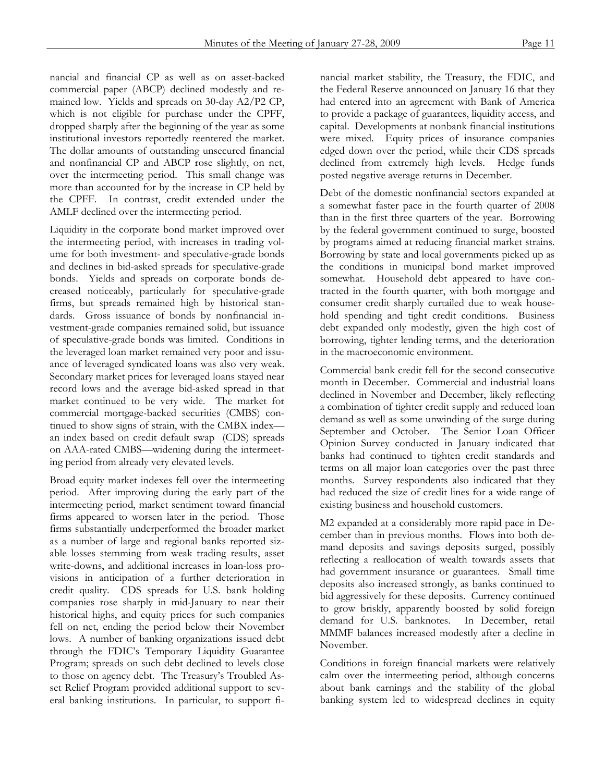nancial and financial CP as well as on asset-backed commercial paper (ABCP) declined modestly and remained low. Yields and spreads on 30-day A2/P2 CP, which is not eligible for purchase under the CPFF, dropped sharply after the beginning of the year as some institutional investors reportedly reentered the market. The dollar amounts of outstanding unsecured financial and nonfinancial CP and ABCP rose slightly, on net, over the intermeeting period. This small change was more than accounted for by the increase in CP held by the CPFF. In contrast, credit extended under the AMLF declined over the intermeeting period.

Liquidity in the corporate bond market improved over the intermeeting period, with increases in trading volume for both investment- and speculative-grade bonds and declines in bid-asked spreads for speculative-grade bonds. Yields and spreads on corporate bonds decreased noticeably, particularly for speculative-grade firms, but spreads remained high by historical standards. Gross issuance of bonds by nonfinancial investment-grade companies remained solid, but issuance of speculative-grade bonds was limited. Conditions in the leveraged loan market remained very poor and issuance of leveraged syndicated loans was also very weak. Secondary market prices for leveraged loans stayed near record lows and the average bid-asked spread in that market continued to be very wide. The market for commercial mortgage-backed securities (CMBS) continued to show signs of strain, with the CMBX index an index based on credit default swap (CDS) spreads on AAA-rated CMBS—widening during the intermeeting period from already very elevated levels.

Broad equity market indexes fell over the intermeeting period. After improving during the early part of the intermeeting period, market sentiment toward financial firms appeared to worsen later in the period. Those firms substantially underperformed the broader market as a number of large and regional banks reported sizable losses stemming from weak trading results, asset write-downs, and additional increases in loan-loss provisions in anticipation of a further deterioration in credit quality. CDS spreads for U.S. bank holding companies rose sharply in mid-January to near their historical highs, and equity prices for such companies fell on net, ending the period below their November lows. A number of banking organizations issued debt through the FDIC's Temporary Liquidity Guarantee Program; spreads on such debt declined to levels close to those on agency debt. The Treasury's Troubled Asset Relief Program provided additional support to several banking institutions. In particular, to support fi-

nancial market stability, the Treasury, the FDIC, and the Federal Reserve announced on January 16 that they had entered into an agreement with Bank of America to provide a package of guarantees, liquidity access, and capital. Developments at nonbank financial institutions were mixed. Equity prices of insurance companies edged down over the period, while their CDS spreads declined from extremely high levels. Hedge funds posted negative average returns in December.

Debt of the domestic nonfinancial sectors expanded at a somewhat faster pace in the fourth quarter of 2008 than in the first three quarters of the year. Borrowing by the federal government continued to surge, boosted by programs aimed at reducing financial market strains. Borrowing by state and local governments picked up as the conditions in municipal bond market improved somewhat. Household debt appeared to have contracted in the fourth quarter, with both mortgage and consumer credit sharply curtailed due to weak household spending and tight credit conditions. Business debt expanded only modestly, given the high cost of borrowing, tighter lending terms, and the deterioration in the macroeconomic environment.

Commercial bank credit fell for the second consecutive month in December. Commercial and industrial loans declined in November and December, likely reflecting a combination of tighter credit supply and reduced loan demand as well as some unwinding of the surge during September and October. The Senior Loan Officer Opinion Survey conducted in January indicated that banks had continued to tighten credit standards and terms on all major loan categories over the past three months. Survey respondents also indicated that they had reduced the size of credit lines for a wide range of existing business and household customers.

M2 expanded at a considerably more rapid pace in December than in previous months. Flows into both demand deposits and savings deposits surged, possibly reflecting a reallocation of wealth towards assets that had government insurance or guarantees. Small time deposits also increased strongly, as banks continued to bid aggressively for these deposits. Currency continued to grow briskly, apparently boosted by solid foreign demand for U.S. banknotes. In December, retail MMMF balances increased modestly after a decline in November.

Conditions in foreign financial markets were relatively calm over the intermeeting period, although concerns about bank earnings and the stability of the global banking system led to widespread declines in equity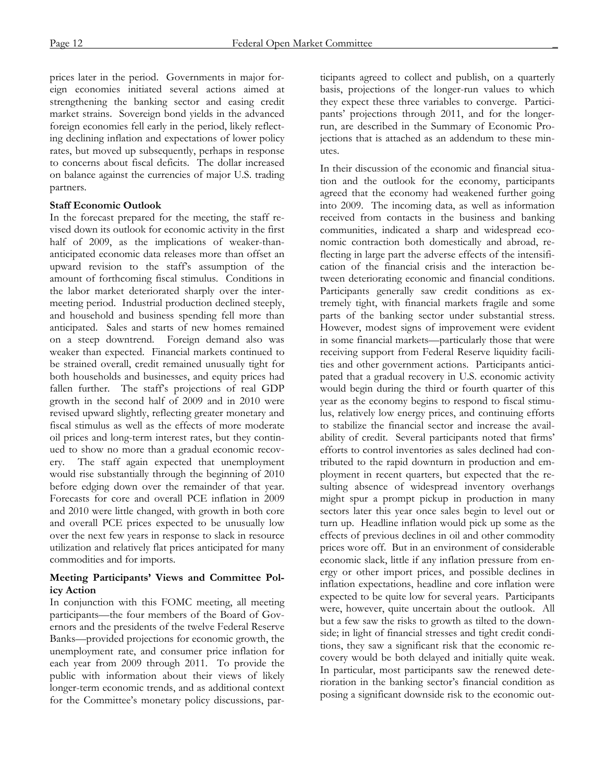prices later in the period. Governments in major foreign economies initiated several actions aimed at strengthening the banking sector and easing credit market strains. Sovereign bond yields in the advanced foreign economies fell early in the period, likely reflecting declining inflation and expectations of lower policy rates, but moved up subsequently, perhaps in response to concerns about fiscal deficits. The dollar increased on balance against the currencies of major U.S. trading partners.

## **Staff Economic Outlook**

In the forecast prepared for the meeting, the staff revised down its outlook for economic activity in the first half of 2009, as the implications of weaker-thananticipated economic data releases more than offset an upward revision to the staff's assumption of the amount of forthcoming fiscal stimulus. Conditions in the labor market deteriorated sharply over the intermeeting period. Industrial production declined steeply, and household and business spending fell more than anticipated. Sales and starts of new homes remained on a steep downtrend. Foreign demand also was weaker than expected. Financial markets continued to be strained overall, credit remained unusually tight for both households and businesses, and equity prices had fallen further. The staff's projections of real GDP growth in the second half of 2009 and in 2010 were revised upward slightly, reflecting greater monetary and fiscal stimulus as well as the effects of more moderate oil prices and long-term interest rates, but they continued to show no more than a gradual economic recovery. The staff again expected that unemployment would rise substantially through the beginning of 2010 before edging down over the remainder of that year. Forecasts for core and overall PCE inflation in 2009 and 2010 were little changed, with growth in both core and overall PCE prices expected to be unusually low over the next few years in response to slack in resource utilization and relatively flat prices anticipated for many commodities and for imports.

## **Meeting Participants' Views and Committee Policy Action**

In conjunction with this FOMC meeting, all meeting participants—the four members of the Board of Governors and the presidents of the twelve Federal Reserve Banks—provided projections for economic growth, the unemployment rate, and consumer price inflation for each year from 2009 through 2011. To provide the public with information about their views of likely longer-term economic trends, and as additional context for the Committee's monetary policy discussions, par-

ticipants agreed to collect and publish, on a quarterly basis, projections of the longer-run values to which they expect these three variables to converge. Participants' projections through 2011, and for the longerrun, are described in the Summary of Economic Projections that is attached as an addendum to these minutes.

In their discussion of the economic and financial situation and the outlook for the economy, participants agreed that the economy had weakened further going into 2009. The incoming data, as well as information received from contacts in the business and banking communities, indicated a sharp and widespread economic contraction both domestically and abroad, reflecting in large part the adverse effects of the intensification of the financial crisis and the interaction between deteriorating economic and financial conditions. Participants generally saw credit conditions as extremely tight, with financial markets fragile and some parts of the banking sector under substantial stress. However, modest signs of improvement were evident in some financial markets—particularly those that were receiving support from Federal Reserve liquidity facilities and other government actions. Participants anticipated that a gradual recovery in U.S. economic activity would begin during the third or fourth quarter of this year as the economy begins to respond to fiscal stimulus, relatively low energy prices, and continuing efforts to stabilize the financial sector and increase the availability of credit. Several participants noted that firms' efforts to control inventories as sales declined had contributed to the rapid downturn in production and employment in recent quarters, but expected that the resulting absence of widespread inventory overhangs might spur a prompt pickup in production in many sectors later this year once sales begin to level out or turn up. Headline inflation would pick up some as the effects of previous declines in oil and other commodity prices wore off. But in an environment of considerable economic slack, little if any inflation pressure from energy or other import prices, and possible declines in inflation expectations, headline and core inflation were expected to be quite low for several years. Participants were, however, quite uncertain about the outlook. All but a few saw the risks to growth as tilted to the downside; in light of financial stresses and tight credit conditions, they saw a significant risk that the economic recovery would be both delayed and initially quite weak. In particular, most participants saw the renewed deterioration in the banking sector's financial condition as posing a significant downside risk to the economic out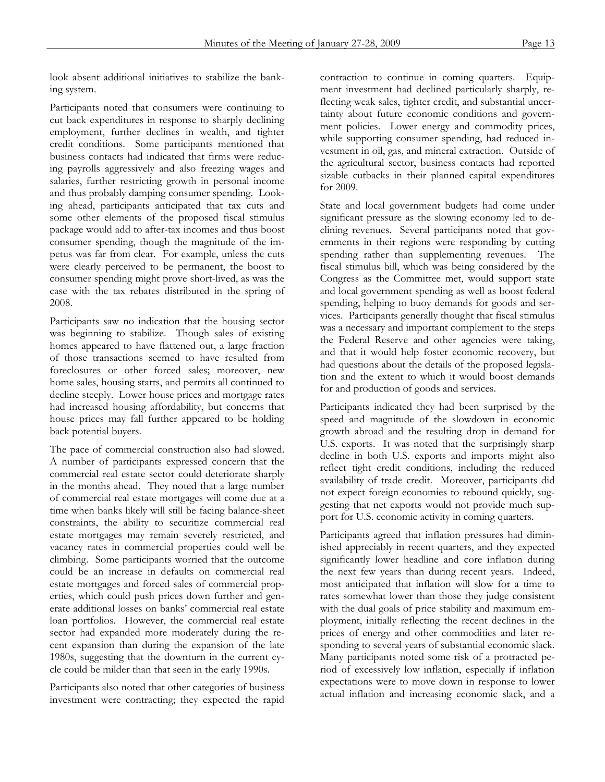look absent additional initiatives to stabilize the banking system.

Participants noted that consumers were continuing to cut back expenditures in response to sharply declining employment, further declines in wealth, and tighter credit conditions. Some participants mentioned that business contacts had indicated that firms were reducing payrolls aggressively and also freezing wages and salaries, further restricting growth in personal income and thus probably damping consumer spending. Looking ahead, participants anticipated that tax cuts and some other elements of the proposed fiscal stimulus package would add to after-tax incomes and thus boost consumer spending, though the magnitude of the impetus was far from clear. For example, unless the cuts were clearly perceived to be permanent, the boost to consumer spending might prove short-lived, as was the case with the tax rebates distributed in the spring of 2008.

Participants saw no indication that the housing sector was beginning to stabilize. Though sales of existing homes appeared to have flattened out, a large fraction of those transactions seemed to have resulted from foreclosures or other forced sales; moreover, new home sales, housing starts, and permits all continued to decline steeply. Lower house prices and mortgage rates had increased housing affordability, but concerns that house prices may fall further appeared to be holding back potential buyers.

The pace of commercial construction also had slowed. A number of participants expressed concern that the commercial real estate sector could deteriorate sharply in the months ahead. They noted that a large number of commercial real estate mortgages will come due at a time when banks likely will still be facing balance-sheet constraints, the ability to securitize commercial real estate mortgages may remain severely restricted, and vacancy rates in commercial properties could well be climbing. Some participants worried that the outcome could be an increase in defaults on commercial real estate mortgages and forced sales of commercial properties, which could push prices down further and generate additional losses on banks' commercial real estate loan portfolios. However, the commercial real estate sector had expanded more moderately during the recent expansion than during the expansion of the late 1980s, suggesting that the downturn in the current cycle could be milder than that seen in the early 1990s.

Participants also noted that other categories of business investment were contracting; they expected the rapid

contraction to continue in coming quarters. Equipment investment had declined particularly sharply, reflecting weak sales, tighter credit, and substantial uncertainty about future economic conditions and government policies. Lower energy and commodity prices, while supporting consumer spending, had reduced investment in oil, gas, and mineral extraction. Outside of the agricultural sector, business contacts had reported sizable cutbacks in their planned capital expenditures for 2009.

State and local government budgets had come under significant pressure as the slowing economy led to declining revenues. Several participants noted that governments in their regions were responding by cutting spending rather than supplementing revenues. The fiscal stimulus bill, which was being considered by the Congress as the Committee met, would support state and local government spending as well as boost federal spending, helping to buoy demands for goods and services. Participants generally thought that fiscal stimulus was a necessary and important complement to the steps the Federal Reserve and other agencies were taking, and that it would help foster economic recovery, but had questions about the details of the proposed legislation and the extent to which it would boost demands for and production of goods and services.

Participants indicated they had been surprised by the speed and magnitude of the slowdown in economic growth abroad and the resulting drop in demand for U.S. exports. It was noted that the surprisingly sharp decline in both U.S. exports and imports might also reflect tight credit conditions, including the reduced availability of trade credit. Moreover, participants did not expect foreign economies to rebound quickly, suggesting that net exports would not provide much support for U.S. economic activity in coming quarters.

Participants agreed that inflation pressures had diminished appreciably in recent quarters, and they expected significantly lower headline and core inflation during the next few years than during recent years. Indeed, most anticipated that inflation will slow for a time to rates somewhat lower than those they judge consistent with the dual goals of price stability and maximum employment, initially reflecting the recent declines in the prices of energy and other commodities and later responding to several years of substantial economic slack. Many participants noted some risk of a protracted period of excessively low inflation, especially if inflation expectations were to move down in response to lower actual inflation and increasing economic slack, and a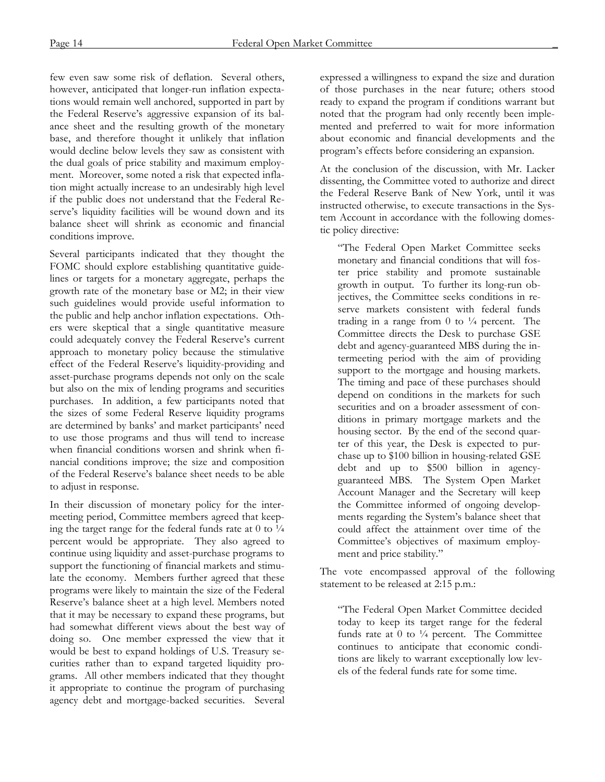few even saw some risk of deflation. Several others, however, anticipated that longer-run inflation expectations would remain well anchored, supported in part by the Federal Reserve's aggressive expansion of its balance sheet and the resulting growth of the monetary base, and therefore thought it unlikely that inflation would decline below levels they saw as consistent with the dual goals of price stability and maximum employment. Moreover, some noted a risk that expected inflation might actually increase to an undesirably high level if the public does not understand that the Federal Reserve's liquidity facilities will be wound down and its balance sheet will shrink as economic and financial conditions improve.

Several participants indicated that they thought the FOMC should explore establishing quantitative guidelines or targets for a monetary aggregate, perhaps the growth rate of the monetary base or M2; in their view such guidelines would provide useful information to the public and help anchor inflation expectations. Others were skeptical that a single quantitative measure could adequately convey the Federal Reserve's current approach to monetary policy because the stimulative effect of the Federal Reserve's liquidity-providing and asset-purchase programs depends not only on the scale but also on the mix of lending programs and securities purchases. In addition, a few participants noted that the sizes of some Federal Reserve liquidity programs are determined by banks' and market participants' need to use those programs and thus will tend to increase when financial conditions worsen and shrink when financial conditions improve; the size and composition of the Federal Reserve's balance sheet needs to be able to adjust in response.

In their discussion of monetary policy for the intermeeting period, Committee members agreed that keeping the target range for the federal funds rate at 0 to  $\frac{1}{4}$ percent would be appropriate. They also agreed to continue using liquidity and asset-purchase programs to support the functioning of financial markets and stimulate the economy. Members further agreed that these programs were likely to maintain the size of the Federal Reserve's balance sheet at a high level. Members noted that it may be necessary to expand these programs, but had somewhat different views about the best way of doing so. One member expressed the view that it would be best to expand holdings of U.S. Treasury securities rather than to expand targeted liquidity programs. All other members indicated that they thought it appropriate to continue the program of purchasing agency debt and mortgage-backed securities. Several

expressed a willingness to expand the size and duration of those purchases in the near future; others stood ready to expand the program if conditions warrant but noted that the program had only recently been implemented and preferred to wait for more information about economic and financial developments and the program's effects before considering an expansion.

At the conclusion of the discussion, with Mr. Lacker dissenting, the Committee voted to authorize and direct the Federal Reserve Bank of New York, until it was instructed otherwise, to execute transactions in the System Account in accordance with the following domestic policy directive:

"The Federal Open Market Committee seeks monetary and financial conditions that will foster price stability and promote sustainable growth in output. To further its long-run objectives, the Committee seeks conditions in reserve markets consistent with federal funds trading in a range from 0 to  $\frac{1}{4}$  percent. The Committee directs the Desk to purchase GSE debt and agency-guaranteed MBS during the intermeeting period with the aim of providing support to the mortgage and housing markets. The timing and pace of these purchases should depend on conditions in the markets for such securities and on a broader assessment of conditions in primary mortgage markets and the housing sector. By the end of the second quarter of this year, the Desk is expected to purchase up to \$100 billion in housing-related GSE debt and up to \$500 billion in agencyguaranteed MBS. The System Open Market Account Manager and the Secretary will keep the Committee informed of ongoing developments regarding the System's balance sheet that could affect the attainment over time of the Committee's objectives of maximum employment and price stability."

The vote encompassed approval of the following statement to be released at 2:15 p.m.:

"The Federal Open Market Committee decided today to keep its target range for the federal funds rate at  $0$  to  $\frac{1}{4}$  percent. The Committee continues to anticipate that economic conditions are likely to warrant exceptionally low levels of the federal funds rate for some time.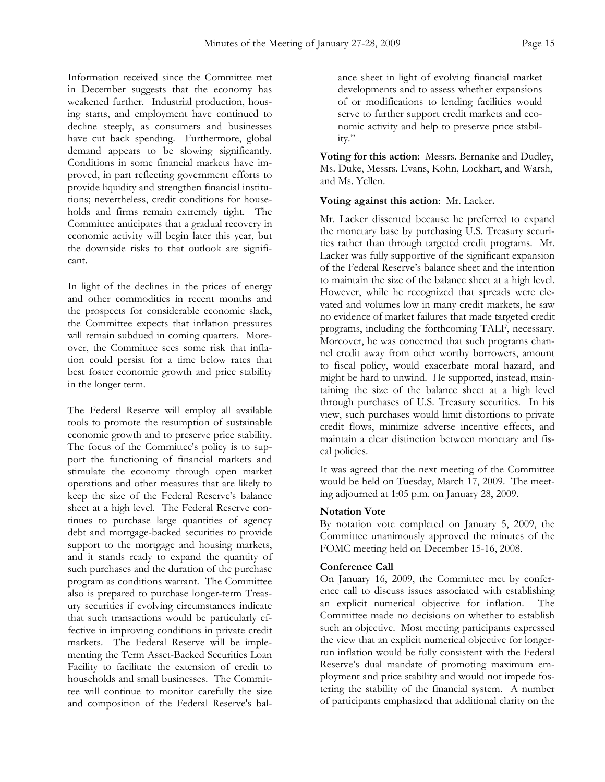Information received since the Committee met in December suggests that the economy has weakened further. Industrial production, housing starts, and employment have continued to decline steeply, as consumers and businesses have cut back spending. Furthermore, global demand appears to be slowing significantly. Conditions in some financial markets have improved, in part reflecting government efforts to provide liquidity and strengthen financial institutions; nevertheless, credit conditions for households and firms remain extremely tight. The Committee anticipates that a gradual recovery in economic activity will begin later this year, but the downside risks to that outlook are significant.

In light of the declines in the prices of energy and other commodities in recent months and the prospects for considerable economic slack, the Committee expects that inflation pressures will remain subdued in coming quarters. Moreover, the Committee sees some risk that inflation could persist for a time below rates that best foster economic growth and price stability in the longer term.

The Federal Reserve will employ all available tools to promote the resumption of sustainable economic growth and to preserve price stability. The focus of the Committee's policy is to support the functioning of financial markets and stimulate the economy through open market operations and other measures that are likely to keep the size of the Federal Reserve's balance sheet at a high level. The Federal Reserve continues to purchase large quantities of agency debt and mortgage-backed securities to provide support to the mortgage and housing markets, and it stands ready to expand the quantity of such purchases and the duration of the purchase program as conditions warrant. The Committee also is prepared to purchase longer-term Treasury securities if evolving circumstances indicate that such transactions would be particularly effective in improving conditions in private credit markets. The Federal Reserve will be implementing the Term Asset-Backed Securities Loan Facility to facilitate the extension of credit to households and small businesses. The Committee will continue to monitor carefully the size and composition of the Federal Reserve's balance sheet in light of evolving financial market developments and to assess whether expansions of or modifications to lending facilities would serve to further support credit markets and economic activity and help to preserve price stability."

**Voting for this action**: Messrs. Bernanke and Dudley, Ms. Duke, Messrs. Evans, Kohn, Lockhart, and Warsh, and Ms. Yellen.

### **Voting against this action**: Mr. Lacker.

Mr. Lacker dissented because he preferred to expand the monetary base by purchasing U.S. Treasury securities rather than through targeted credit programs. Mr. Lacker was fully supportive of the significant expansion of the Federal Reserve's balance sheet and the intention to maintain the size of the balance sheet at a high level. However, while he recognized that spreads were elevated and volumes low in many credit markets, he saw no evidence of market failures that made targeted credit programs, including the forthcoming TALF, necessary. Moreover, he was concerned that such programs channel credit away from other worthy borrowers, amount to fiscal policy, would exacerbate moral hazard, and might be hard to unwind. He supported, instead, maintaining the size of the balance sheet at a high level through purchases of U.S. Treasury securities. In his view, such purchases would limit distortions to private credit flows, minimize adverse incentive effects, and maintain a clear distinction between monetary and fiscal policies.

It was agreed that the next meeting of the Committee would be held on Tuesday, March 17, 2009. The meeting adjourned at 1:05 p.m. on January 28, 2009.

### **Notation Vote**

By notation vote completed on January 5, 2009, the Committee unanimously approved the minutes of the FOMC meeting held on December 15-16, 2008.

#### **Conference Call**

On January 16, 2009, the Committee met by conference call to discuss issues associated with establishing an explicit numerical objective for inflation. The Committee made no decisions on whether to establish such an objective. Most meeting participants expressed the view that an explicit numerical objective for longerrun inflation would be fully consistent with the Federal Reserve's dual mandate of promoting maximum employment and price stability and would not impede fostering the stability of the financial system. A number of participants emphasized that additional clarity on the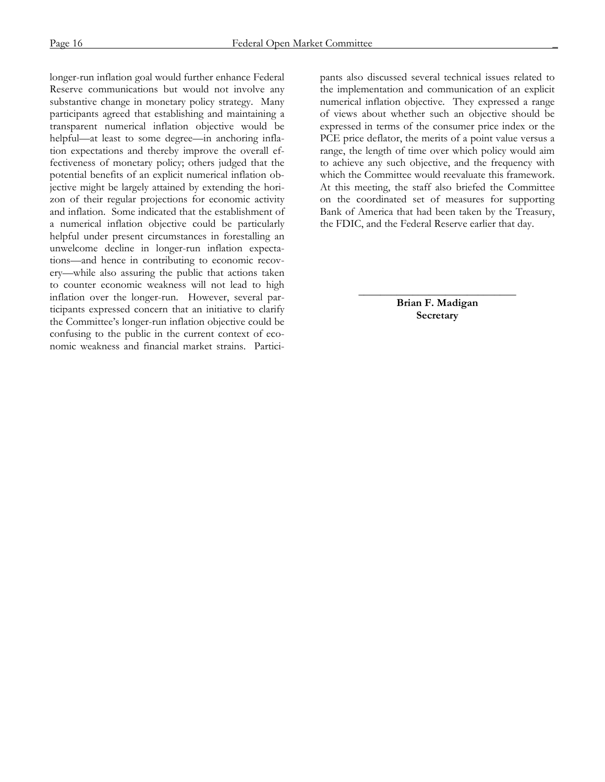longer-run inflation goal would further enhance Federal Reserve communications but would not involve any substantive change in monetary policy strategy. Many participants agreed that establishing and maintaining a transparent numerical inflation objective would be helpful—at least to some degree—in anchoring inflation expectations and thereby improve the overall effectiveness of monetary policy; others judged that the potential benefits of an explicit numerical inflation objective might be largely attained by extending the horizon of their regular projections for economic activity and inflation. Some indicated that the establishment of a numerical inflation objective could be particularly helpful under present circumstances in forestalling an unwelcome decline in longer-run inflation expectations—and hence in contributing to economic recovery—while also assuring the public that actions taken to counter economic weakness will not lead to high inflation over the longer-run. However, several participants expressed concern that an initiative to clarify the Committee's longer-run inflation objective could be confusing to the public in the current context of economic weakness and financial market strains. Participants also discussed several technical issues related to the implementation and communication of an explicit numerical inflation objective. They expressed a range of views about whether such an objective should be expressed in terms of the consumer price index or the PCE price deflator, the merits of a point value versus a range, the length of time over which policy would aim to achieve any such objective, and the frequency with which the Committee would reevaluate this framework. At this meeting, the staff also briefed the Committee on the coordinated set of measures for supporting Bank of America that had been taken by the Treasury, the FDIC, and the Federal Reserve earlier that day.

> \_\_\_\_\_\_\_\_\_\_\_\_\_\_\_\_\_\_\_\_\_\_\_\_\_\_\_\_\_ **Brian F. Madigan Secretary**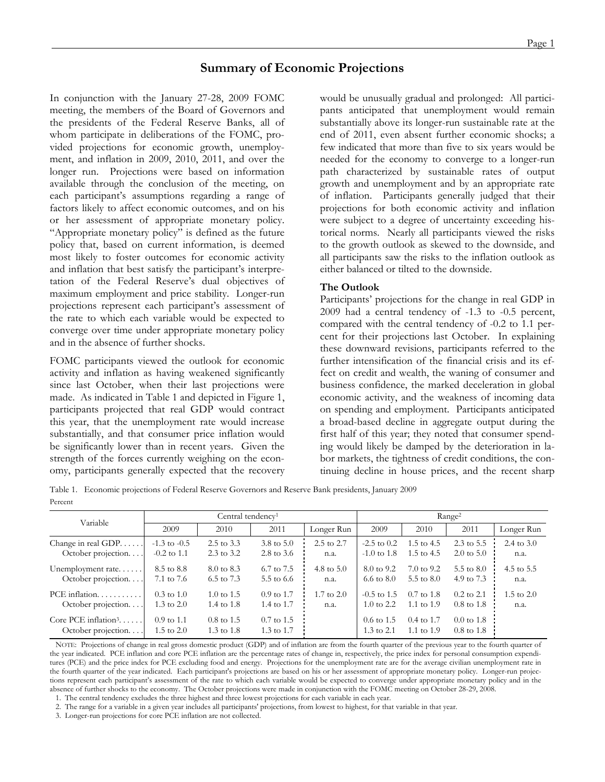# **Summary of Economic Projections**

In conjunction with the January 27-28, 2009 FOMC meeting, the members of the Board of Governors and the presidents of the Federal Reserve Banks, all of whom participate in deliberations of the FOMC, provided projections for economic growth, unemployment, and inflation in 2009, 2010, 2011, and over the longer run. Projections were based on information available through the conclusion of the meeting, on each participant's assumptions regarding a range of factors likely to affect economic outcomes, and on his or her assessment of appropriate monetary policy. "Appropriate monetary policy" is defined as the future policy that, based on current information, is deemed most likely to foster outcomes for economic activity and inflation that best satisfy the participant's interpretation of the Federal Reserve's dual objectives of maximum employment and price stability. Longer-run projections represent each participant's assessment of the rate to which each variable would be expected to converge over time under appropriate monetary policy and in the absence of further shocks.

FOMC participants viewed the outlook for economic activity and inflation as having weakened significantly since last October, when their last projections were made. As indicated in Table 1 and depicted in Figure 1, participants projected that real GDP would contract this year, that the unemployment rate would increase substantially, and that consumer price inflation would be significantly lower than in recent years. Given the strength of the forces currently weighing on the economy, participants generally expected that the recovery would be unusually gradual and prolonged: All participants anticipated that unemployment would remain substantially above its longer-run sustainable rate at the end of 2011, even absent further economic shocks; a few indicated that more than five to six years would be needed for the economy to converge to a longer-run path characterized by sustainable rates of output growth and unemployment and by an appropriate rate of inflation. Participants generally judged that their projections for both economic activity and inflation were subject to a degree of uncertainty exceeding historical norms. Nearly all participants viewed the risks to the growth outlook as skewed to the downside, and all participants saw the risks to the inflation outlook as either balanced or tilted to the downside.

#### **The Outlook**

Participants' projections for the change in real GDP in 2009 had a central tendency of -1.3 to -0.5 percent, compared with the central tendency of -0.2 to 1.1 percent for their projections last October. In explaining these downward revisions, participants referred to the further intensification of the financial crisis and its effect on credit and wealth, the waning of consumer and business confidence, the marked deceleration in global economic activity, and the weakness of incoming data on spending and employment. Participants anticipated a broad-based decline in aggregate output during the first half of this year; they noted that consumer spending would likely be damped by the deterioration in labor markets, the tightness of credit conditions, the continuing decline in house prices, and the recent sharp

Table 1. Economic projections of Federal Reserve Governors and Reserve Bank presidents, January 2009 Percent

| Variable                                               | Central tendency <sup>1</sup>                  |                                       |                                     | Range <sup>2</sup>    |                                     |                                     |                                  |                       |
|--------------------------------------------------------|------------------------------------------------|---------------------------------------|-------------------------------------|-----------------------|-------------------------------------|-------------------------------------|----------------------------------|-----------------------|
|                                                        | 2009                                           | 2010                                  | 2011                                | Longer Run            | 2009                                | 2010                                | 2011                             | Longer Run            |
| Change in real GDP                                     | $-1.3$ to $-0.5$                               | $2.5 \text{ to } 3.3$                 | $3.8 \text{ to } 5.0$               | $2.5 \text{ to } 2.7$ | $-2.5$ to 0.2                       | $1.5 \text{ to } 4.5$               | $2.3 \text{ to } 5.5$            | $2.4 \text{ to } 3.0$ |
| October projection                                     | $-0.2$ to 1.1                                  | 2.3 to 3.2                            | 2.8 to 3.6                          | n.a.                  | $-1.0 \text{ to } 1.8$              | $1.5 \text{ to } 4.5$               | $2.0 \text{ to } 5.0$            | n.a.                  |
| Unemployment rate                                      | 8.5 to 8.8                                     | 8.0 to 8.3                            | 6.7 to 7.5                          | 4.8 to $5.0$          | 8.0 to 9.2                          | 7.0 to 9.2                          | $5.5$ to $8.0$                   | 4.5 to 5.5            |
| October projection                                     | 7.1 to 7.6                                     | 6.5 to 7.3                            | 5.5 to 6.6                          | n.a.                  | 6.6 to $8.0$                        | $5.5 \text{ to } 8.0$               | 4.9 to 7.3                       | n.a.                  |
| PCE inflation                                          | $0.3 \text{ to } 1.0$                          | $1.0 \text{ to } 1.5$                 | $0.9 \text{ to } 1.7$               | $1.7 \text{ to } 2.0$ | $-0.5$ to 1.5                       | $0.7 \text{ to } 1.8$               | $0.2 \text{ to } 2.1$            | $1.5 \text{ to } 2.0$ |
| October projection.                                    | 1.3 to $2.0$                                   | $1.4 \text{ to } 1.8$                 | 1.4 to 1.7                          | n.a.                  | $1.0 \text{ to } 2.2$               | 1.1 to $1.9$                        | $0.8$ to $1.8$                   | n.a.                  |
| Core PCE inflation $3, \ldots$ .<br>October projection | $0.9 \text{ to } 1.1$<br>$1.5 \text{ to } 2.0$ | $0.8 \text{ to } 1.5$<br>1.3 to $1.8$ | $0.7 \text{ to } 1.5$<br>1.3 to 1.7 |                       | $0.6 \text{ to } 1.5$<br>1.3 to 2.1 | $0.4 \text{ to } 1.7$<br>1.1 to 1.9 | $0.0$ to $1.8$<br>$0.8$ to $1.8$ |                       |

 NOTE: Projections of change in real gross domestic product (GDP) and of inflation are from the fourth quarter of the previous year to the fourth quarter of the year indicated. PCE inflation and core PCE inflation are the percentage rates of change in, respectively, the price index for personal consumption expenditures (PCE) and the price index for PCE excluding food and energy. Projections for the unemployment rate are for the average civilian unemployment rate in the fourth quarter of the year indicated. Each participant's projections are based on his or her assessment of appropriate monetary policy. Longer-run projections represent each participant's assessment of the rate to which each variable would be expected to converge under appropriate monetary policy and in the absence of further shocks to the economy. The October projections were made in conjunction with the FOMC meeting on October 28-29, 2008.

1. The central tendency excludes the three highest and three lowest projections for each variable in each year.

2. The range for a variable in a given year includes all participants' projections, from lowest to highest, for that variable in that year.

3. Longer-run projections for core PCE inflation are not collected.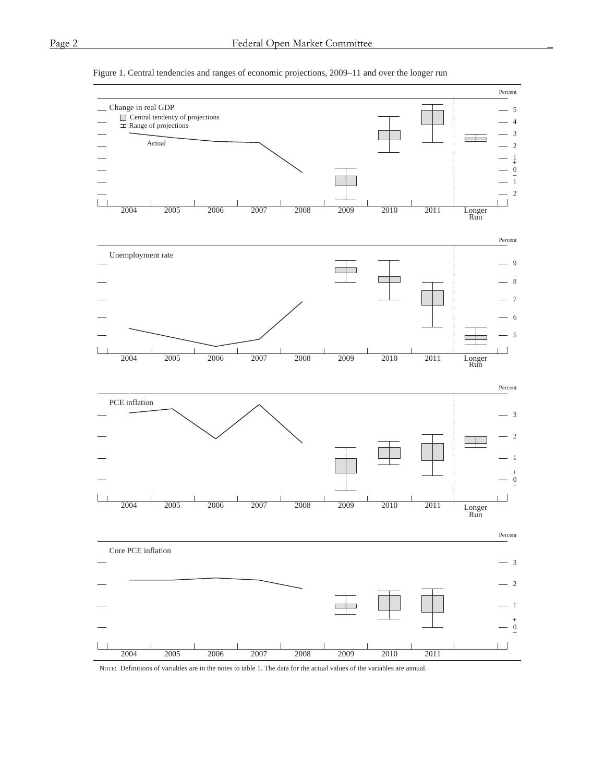

Figure 1. Central tendencies and ranges of economic projections, 2009–11 and over the longer run

NOTE: Definitions of variables are in the notes to table 1. The data for the actual values of the variables are annual.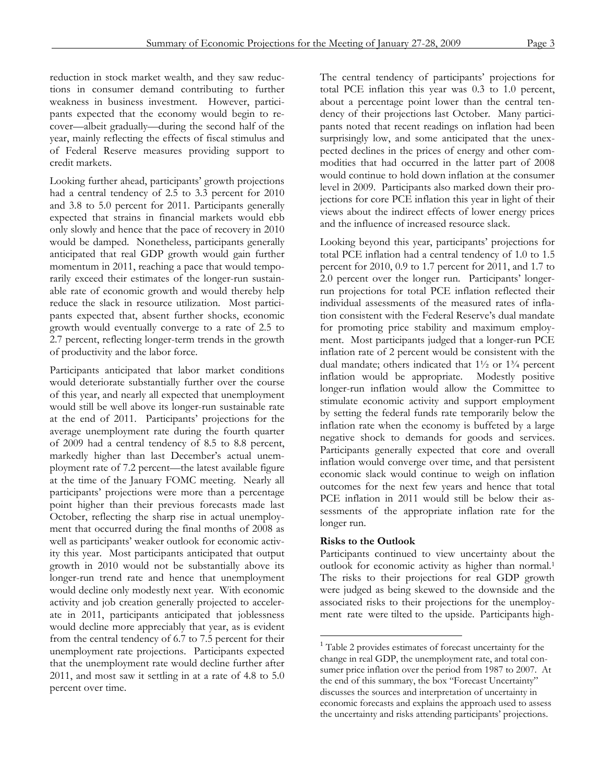reduction in stock market wealth, and they saw reductions in consumer demand contributing to further weakness in business investment. However, participants expected that the economy would begin to recover—albeit gradually—during the second half of the year, mainly reflecting the effects of fiscal stimulus and of Federal Reserve measures providing support to credit markets.

Looking further ahead, participants' growth projections had a central tendency of 2.5 to 3.3 percent for 2010 and 3.8 to 5.0 percent for 2011. Participants generally expected that strains in financial markets would ebb only slowly and hence that the pace of recovery in 2010 would be damped. Nonetheless, participants generally anticipated that real GDP growth would gain further momentum in 2011, reaching a pace that would temporarily exceed their estimates of the longer-run sustainable rate of economic growth and would thereby help reduce the slack in resource utilization. Most participants expected that, absent further shocks, economic growth would eventually converge to a rate of 2.5 to 2.7 percent, reflecting longer-term trends in the growth of productivity and the labor force.

Participants anticipated that labor market conditions would deteriorate substantially further over the course of this year, and nearly all expected that unemployment would still be well above its longer-run sustainable rate at the end of 2011. Participants' projections for the average unemployment rate during the fourth quarter of 2009 had a central tendency of 8.5 to 8.8 percent, markedly higher than last December's actual unemployment rate of 7.2 percent—the latest available figure at the time of the January FOMC meeting. Nearly all participants' projections were more than a percentage point higher than their previous forecasts made last October, reflecting the sharp rise in actual unemployment that occurred during the final months of 2008 as well as participants' weaker outlook for economic activity this year. Most participants anticipated that output growth in 2010 would not be substantially above its longer-run trend rate and hence that unemployment would decline only modestly next year. With economic activity and job creation generally projected to accelerate in 2011, participants anticipated that joblessness would decline more appreciably that year, as is evident from the central tendency of 6.7 to 7.5 percent for their unemployment rate projections. Participants expected that the unemployment rate would decline further after 2011, and most saw it settling in at a rate of 4.8 to 5.0 percent over time.

The central tendency of participants' projections for total PCE inflation this year was 0.3 to 1.0 percent, about a percentage point lower than the central tendency of their projections last October. Many participants noted that recent readings on inflation had been surprisingly low, and some anticipated that the unexpected declines in the prices of energy and other commodities that had occurred in the latter part of 2008 would continue to hold down inflation at the consumer level in 2009. Participants also marked down their projections for core PCE inflation this year in light of their views about the indirect effects of lower energy prices and the influence of increased resource slack.

Looking beyond this year, participants' projections for total PCE inflation had a central tendency of 1.0 to 1.5 percent for 2010, 0.9 to 1.7 percent for 2011, and 1.7 to 2.0 percent over the longer run. Participants' longerrun projections for total PCE inflation reflected their individual assessments of the measured rates of inflation consistent with the Federal Reserve's dual mandate for promoting price stability and maximum employment. Most participants judged that a longer-run PCE inflation rate of 2 percent would be consistent with the dual mandate; others indicated that  $1\frac{1}{2}$  or  $1\frac{3}{4}$  percent inflation would be appropriate. Modestly positive longer-run inflation would allow the Committee to stimulate economic activity and support employment by setting the federal funds rate temporarily below the inflation rate when the economy is buffeted by a large negative shock to demands for goods and services. Participants generally expected that core and overall inflation would converge over time, and that persistent economic slack would continue to weigh on inflation outcomes for the next few years and hence that total PCE inflation in 2011 would still be below their assessments of the appropriate inflation rate for the longer run.

### **Risks to the Outlook**

 $\overline{a}$ 

Participants continued to view uncertainty about the outlook for economic activity as higher than normal.<sup>1</sup> The risks to their projections for real GDP growth were judged as being skewed to the downside and the associated risks to their projections for the unemployment rate were tilted to the upside. Participants high-

<sup>1</sup> Table 2 provides estimates of forecast uncertainty for the change in real GDP, the unemployment rate, and total consumer price inflation over the period from 1987 to 2007. At the end of this summary, the box "Forecast Uncertainty" discusses the sources and interpretation of uncertainty in economic forecasts and explains the approach used to assess the uncertainty and risks attending participants' projections.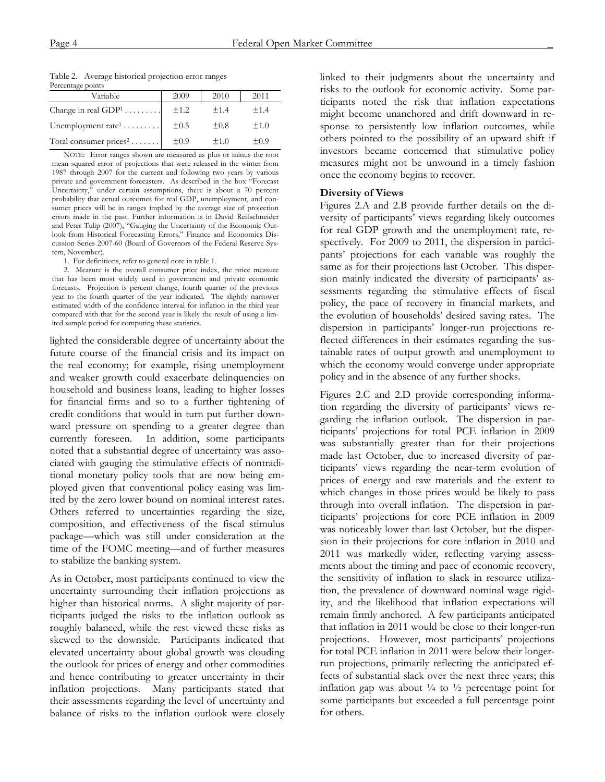Table 2. Average historical projection error ranges Percentage points

| Variable                           | 2009      | 2010      | 2011      |  |  |  |  |
|------------------------------------|-----------|-----------|-----------|--|--|--|--|
| Change in real $GDP1$              | ±1.2      | ±1.4      | ±1.4      |  |  |  |  |
| Unemployment rate $1$              | $\pm 0.5$ | $\pm 0.8$ | ±1.0      |  |  |  |  |
| Total consumer prices <sup>2</sup> | ±0.9      | ±1.0      | $\pm 0.9$ |  |  |  |  |

NOTE: Error ranges shown are measured as plus or minus the root mean squared error of projections that were released in the winter from 1987 through 2007 for the current and following two years by various private and government forecasters. As described in the box "Forecast Uncertainty," under certain assumptions, there is about a 70 percent probability that actual outcomes for real GDP, unemployment, and consumer prices will be in ranges implied by the average size of projection errors made in the past. Further information is in David Reifschneider and Peter Tulip (2007), "Gauging the Uncertainty of the Economic Outlook from Historical Forecasting Errors," Finance and Economics Discussion Series 2007-60 (Board of Governors of the Federal Reserve System, November).

1. For definitions, refer to general note in table 1.

2. Measure is the overall consumer price index, the price measure that has been most widely used in government and private economic forecasts. Projection is percent change, fourth quarter of the previous year to the fourth quarter of the year indicated. The slightly narrower estimated width of the confidence interval for inflation in the third year compared with that for the second year is likely the result of using a limited sample period for computing these statistics.

lighted the considerable degree of uncertainty about the future course of the financial crisis and its impact on the real economy; for example, rising unemployment and weaker growth could exacerbate delinquencies on household and business loans, leading to higher losses for financial firms and so to a further tightening of credit conditions that would in turn put further downward pressure on spending to a greater degree than currently foreseen. In addition, some participants noted that a substantial degree of uncertainty was associated with gauging the stimulative effects of nontraditional monetary policy tools that are now being employed given that conventional policy easing was limited by the zero lower bound on nominal interest rates. Others referred to uncertainties regarding the size, composition, and effectiveness of the fiscal stimulus package—which was still under consideration at the time of the FOMC meeting—and of further measures to stabilize the banking system.

As in October, most participants continued to view the uncertainty surrounding their inflation projections as higher than historical norms. A slight majority of participants judged the risks to the inflation outlook as roughly balanced, while the rest viewed these risks as skewed to the downside. Participants indicated that elevated uncertainty about global growth was clouding the outlook for prices of energy and other commodities and hence contributing to greater uncertainty in their inflation projections. Many participants stated that their assessments regarding the level of uncertainty and balance of risks to the inflation outlook were closely linked to their judgments about the uncertainty and risks to the outlook for economic activity. Some participants noted the risk that inflation expectations might become unanchored and drift downward in response to persistently low inflation outcomes, while others pointed to the possibility of an upward shift if investors became concerned that stimulative policy measures might not be unwound in a timely fashion once the economy begins to recover.

#### **Diversity of Views**

Figures 2.A and 2.B provide further details on the diversity of participants' views regarding likely outcomes for real GDP growth and the unemployment rate, respectively. For 2009 to 2011, the dispersion in participants' projections for each variable was roughly the same as for their projections last October. This dispersion mainly indicated the diversity of participants' assessments regarding the stimulative effects of fiscal policy, the pace of recovery in financial markets, and the evolution of households' desired saving rates. The dispersion in participants' longer-run projections reflected differences in their estimates regarding the sustainable rates of output growth and unemployment to which the economy would converge under appropriate policy and in the absence of any further shocks.

Figures 2.C and 2.D provide corresponding information regarding the diversity of participants' views regarding the inflation outlook. The dispersion in participants' projections for total PCE inflation in 2009 was substantially greater than for their projections made last October, due to increased diversity of participants' views regarding the near-term evolution of prices of energy and raw materials and the extent to which changes in those prices would be likely to pass through into overall inflation. The dispersion in participants' projections for core PCE inflation in 2009 was noticeably lower than last October, but the dispersion in their projections for core inflation in 2010 and 2011 was markedly wider, reflecting varying assessments about the timing and pace of economic recovery, the sensitivity of inflation to slack in resource utilization, the prevalence of downward nominal wage rigidity, and the likelihood that inflation expectations will remain firmly anchored. A few participants anticipated that inflation in 2011 would be close to their longer-run projections. However, most participants' projections for total PCE inflation in 2011 were below their longerrun projections, primarily reflecting the anticipated effects of substantial slack over the next three years; this inflation gap was about  $\frac{1}{4}$  to  $\frac{1}{2}$  percentage point for some participants but exceeded a full percentage point for others.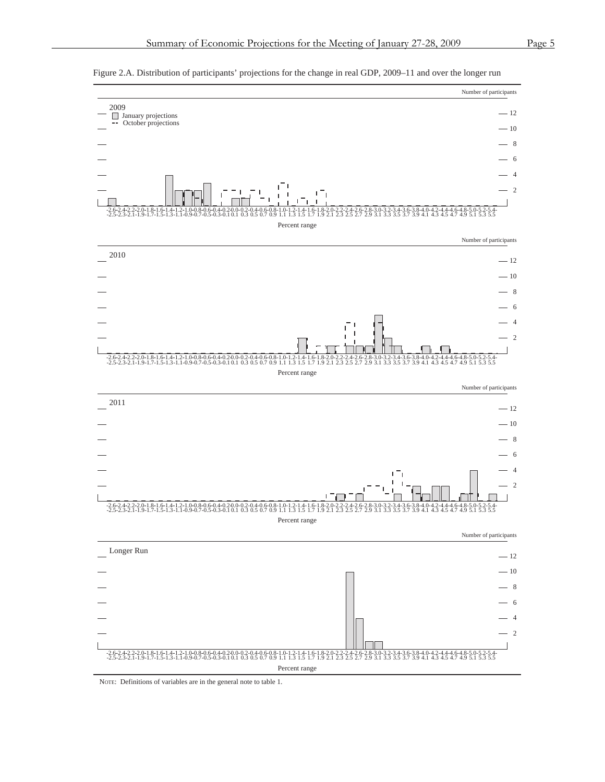





I. - 1

 $\Box$  $\overline{\phantom{a}}$ 

 $-2$ 4 6

NOTE: Definitions of variables are in the general note to table 1.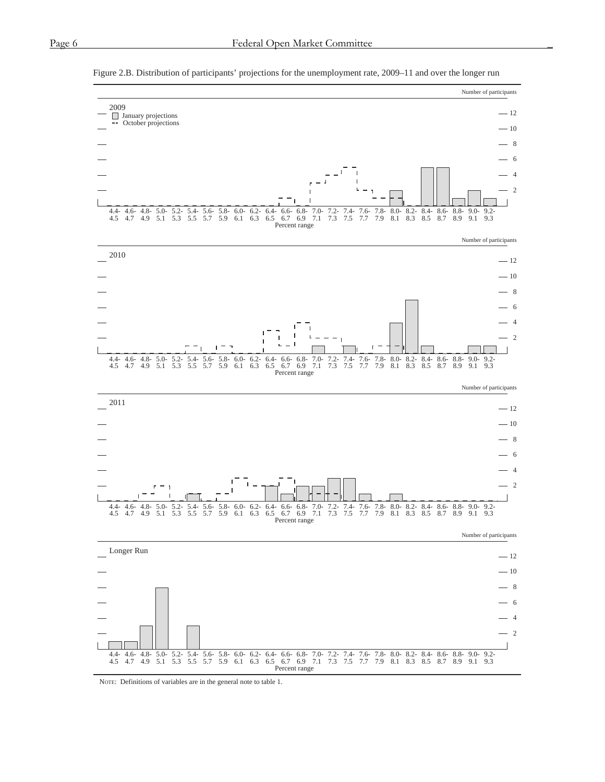

Figure 2.B. Distribution of participants' projections for the unemployment rate, 2009–11 and over the longer run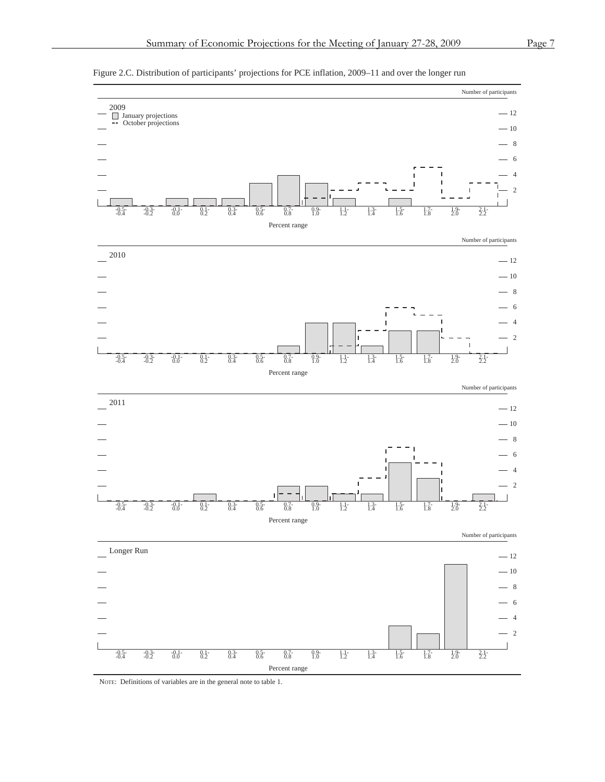



NOTE: Definitions of variables are in the general note to table 1.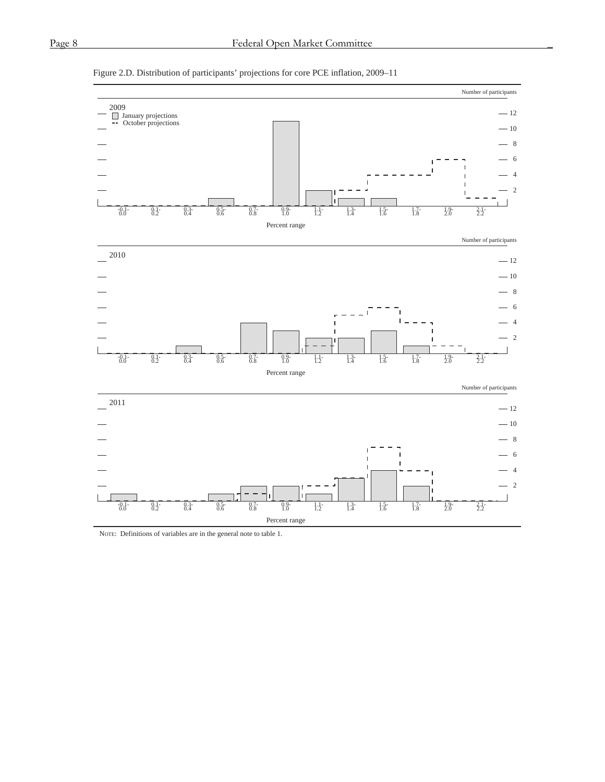

Figure 2.D. Distribution of participants' projections for core PCE inflation, 2009–11

NOTE: Definitions of variables are in the general note to table 1.

0.3- 0.4

0.5- 0.6

0.7- 0.8

0.9- 1.0

Percent range

1.1- 1.2

1.3- 1.4

1.5- 1.6

1.7- 1.8

1.9- 2.0

2.1- 2.2

 $-0.1 - 0.0$ 

0.1- 0.2